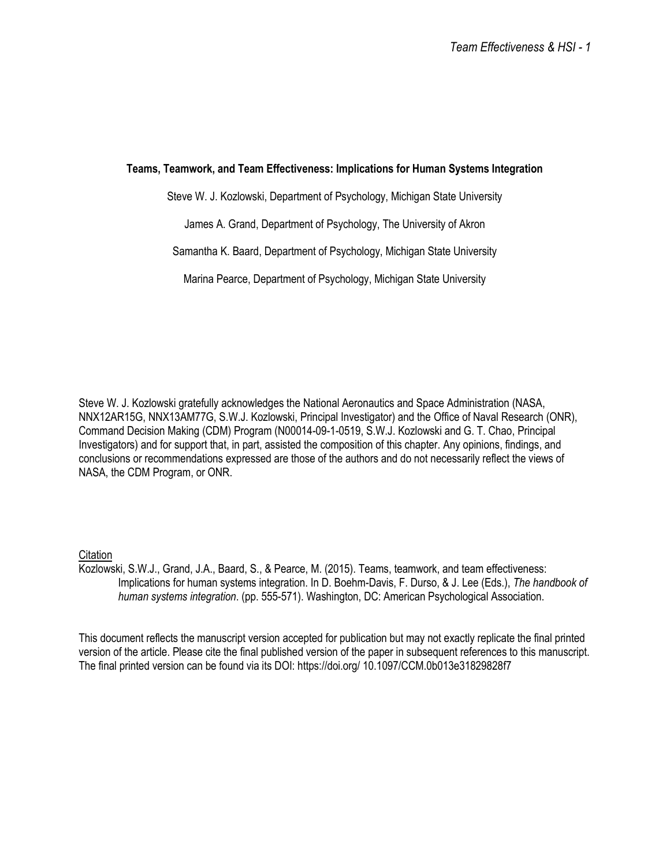# **Teams, Teamwork, and Team Effectiveness: Implications for Human Systems Integration**

Steve W. J. Kozlowski, Department of Psychology, Michigan State University

James A. Grand, Department of Psychology, The University of Akron

Samantha K. Baard, Department of Psychology, Michigan State University

Marina Pearce, Department of Psychology, Michigan State University

Steve W. J. Kozlowski gratefully acknowledges the National Aeronautics and Space Administration (NASA, NNX12AR15G, NNX13AM77G, S.W.J. Kozlowski, Principal Investigator) and the Office of Naval Research (ONR), Command Decision Making (CDM) Program (N00014-09-1-0519, S.W.J. Kozlowski and G. T. Chao, Principal Investigators) and for support that, in part, assisted the composition of this chapter. Any opinions, findings, and conclusions or recommendations expressed are those of the authors and do not necessarily reflect the views of NASA, the CDM Program, or ONR.

# **Citation**

Kozlowski, S.W.J., Grand, J.A., Baard, S., & Pearce, M. (2015). Teams, teamwork, and team effectiveness: Implications for human systems integration. In D. Boehm-Davis, F. Durso, & J. Lee (Eds.), *The handbook of human systems integration*. (pp. 555-571). Washington, DC: American Psychological Association.

This document reflects the manuscript version accepted for publication but may not exactly replicate the final printed version of the article. Please cite the final published version of the paper in subsequent references to this manuscript. The final printed version can be found via its DOI: https://doi.org/ 10.1097/CCM.0b013e31829828f7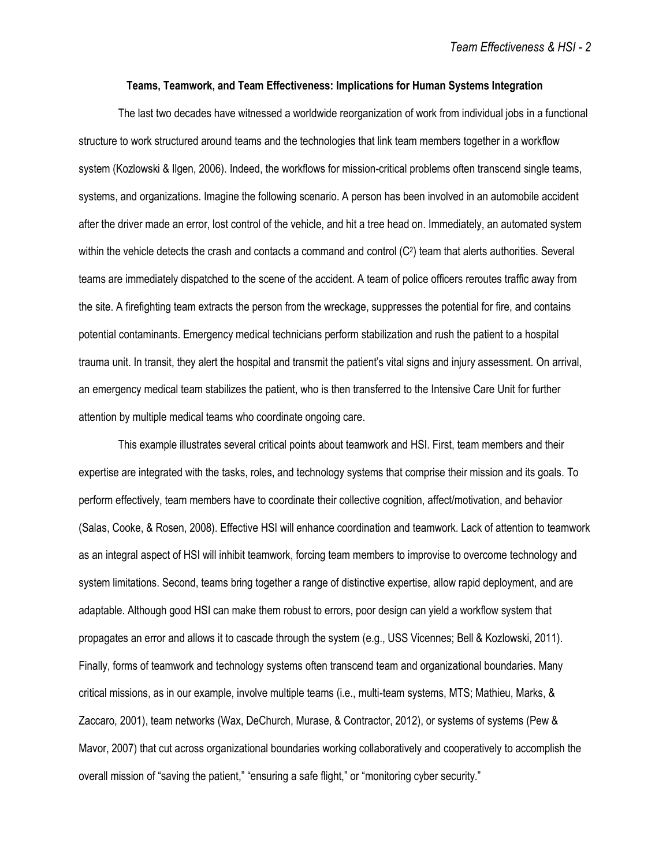### **Teams, Teamwork, and Team Effectiveness: Implications for Human Systems Integration**

The last two decades have witnessed a worldwide reorganization of work from individual jobs in a functional structure to work structured around teams and the technologies that link team members together in a workflow system (Kozlowski & Ilgen, 2006). Indeed, the workflows for mission-critical problems often transcend single teams, systems, and organizations. Imagine the following scenario. A person has been involved in an automobile accident after the driver made an error, lost control of the vehicle, and hit a tree head on. Immediately, an automated system within the vehicle detects the crash and contacts a command and control (C<sup>2</sup>) team that alerts authorities. Several teams are immediately dispatched to the scene of the accident. A team of police officers reroutes traffic away from the site. A firefighting team extracts the person from the wreckage, suppresses the potential for fire, and contains potential contaminants. Emergency medical technicians perform stabilization and rush the patient to a hospital trauma unit. In transit, they alert the hospital and transmit the patient's vital signs and injury assessment. On arrival, an emergency medical team stabilizes the patient, who is then transferred to the Intensive Care Unit for further attention by multiple medical teams who coordinate ongoing care.

This example illustrates several critical points about teamwork and HSI. First, team members and their expertise are integrated with the tasks, roles, and technology systems that comprise their mission and its goals. To perform effectively, team members have to coordinate their collective cognition, affect/motivation, and behavior (Salas, Cooke, & Rosen, 2008). Effective HSI will enhance coordination and teamwork. Lack of attention to teamwork as an integral aspect of HSI will inhibit teamwork, forcing team members to improvise to overcome technology and system limitations. Second, teams bring together a range of distinctive expertise, allow rapid deployment, and are adaptable. Although good HSI can make them robust to errors, poor design can yield a workflow system that propagates an error and allows it to cascade through the system (e.g., USS Vicennes; Bell & Kozlowski, 2011). Finally, forms of teamwork and technology systems often transcend team and organizational boundaries. Many critical missions, as in our example, involve multiple teams (i.e., multi-team systems, MTS; Mathieu, Marks, & Zaccaro, 2001), team networks (Wax, DeChurch, Murase, & Contractor, 2012), or systems of systems (Pew & Mavor, 2007) that cut across organizational boundaries working collaboratively and cooperatively to accomplish the overall mission of "saving the patient," "ensuring a safe flight," or "monitoring cyber security."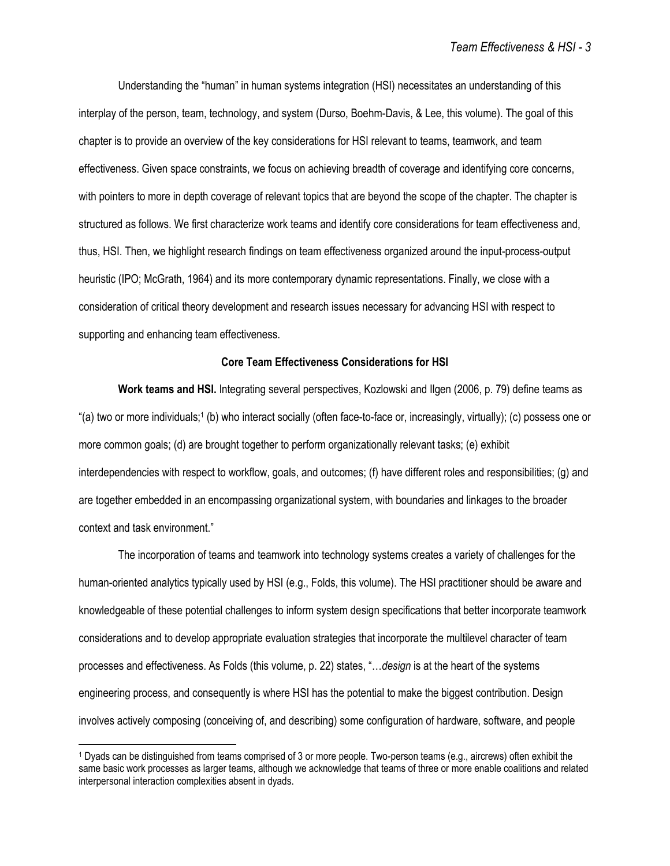Understanding the "human" in human systems integration (HSI) necessitates an understanding of this interplay of the person, team, technology, and system (Durso, Boehm-Davis, & Lee, this volume). The goal of this chapter is to provide an overview of the key considerations for HSI relevant to teams, teamwork, and team effectiveness. Given space constraints, we focus on achieving breadth of coverage and identifying core concerns, with pointers to more in depth coverage of relevant topics that are beyond the scope of the chapter. The chapter is structured as follows. We first characterize work teams and identify core considerations for team effectiveness and, thus, HSI. Then, we highlight research findings on team effectiveness organized around the input-process-output heuristic (IPO; McGrath, 1964) and its more contemporary dynamic representations. Finally, we close with a consideration of critical theory development and research issues necessary for advancing HSI with respect to supporting and enhancing team effectiveness.

# **Core Team Effectiveness Considerations for HSI**

**Work teams and HSI.** Integrating several perspectives, Kozlowski and Ilgen (2006, p. 79) define teams as "(a) two or more individuals;<sup>1</sup> (b) who interact socially (often face-to-face or, increasingly, virtually); (c) possess one or more common goals; (d) are brought together to perform organizationally relevant tasks; (e) exhibit interdependencies with respect to workflow, goals, and outcomes; (f) have different roles and responsibilities; (g) and are together embedded in an encompassing organizational system, with boundaries and linkages to the broader context and task environment."

The incorporation of teams and teamwork into technology systems creates a variety of challenges for the human-oriented analytics typically used by HSI (e.g., Folds, this volume). The HSI practitioner should be aware and knowledgeable of these potential challenges to inform system design specifications that better incorporate teamwork considerations and to develop appropriate evaluation strategies that incorporate the multilevel character of team processes and effectiveness. As Folds (this volume, p. 22) states, "…*design* is at the heart of the systems engineering process, and consequently is where HSI has the potential to make the biggest contribution. Design involves actively composing (conceiving of, and describing) some configuration of hardware, software, and people

<sup>1</sup> Dyads can be distinguished from teams comprised of 3 or more people. Two-person teams (e.g., aircrews) often exhibit the same basic work processes as larger teams, although we acknowledge that teams of three or more enable coalitions and related interpersonal interaction complexities absent in dyads.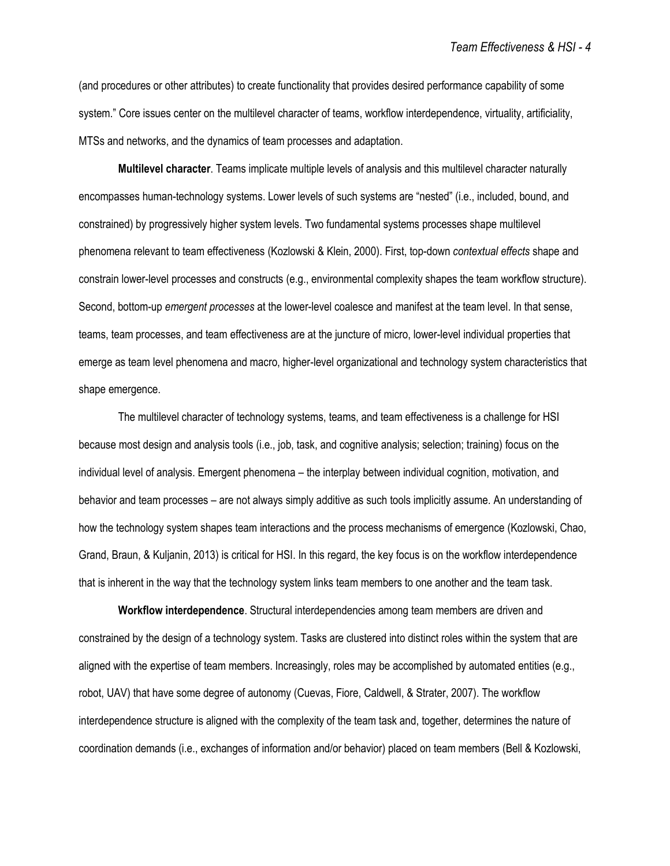(and procedures or other attributes) to create functionality that provides desired performance capability of some system." Core issues center on the multilevel character of teams, workflow interdependence, virtuality, artificiality, MTSs and networks, and the dynamics of team processes and adaptation.

**Multilevel character**. Teams implicate multiple levels of analysis and this multilevel character naturally encompasses human-technology systems. Lower levels of such systems are "nested" (i.e., included, bound, and constrained) by progressively higher system levels. Two fundamental systems processes shape multilevel phenomena relevant to team effectiveness (Kozlowski & Klein, 2000). First, top-down *contextual effects* shape and constrain lower-level processes and constructs (e.g., environmental complexity shapes the team workflow structure). Second, bottom-up *emergent processes* at the lower-level coalesce and manifest at the team level. In that sense, teams, team processes, and team effectiveness are at the juncture of micro, lower-level individual properties that emerge as team level phenomena and macro, higher-level organizational and technology system characteristics that shape emergence.

The multilevel character of technology systems, teams, and team effectiveness is a challenge for HSI because most design and analysis tools (i.e., job, task, and cognitive analysis; selection; training) focus on the individual level of analysis. Emergent phenomena – the interplay between individual cognition, motivation, and behavior and team processes – are not always simply additive as such tools implicitly assume. An understanding of how the technology system shapes team interactions and the process mechanisms of emergence (Kozlowski, Chao, Grand, Braun, & Kuljanin, 2013) is critical for HSI. In this regard, the key focus is on the workflow interdependence that is inherent in the way that the technology system links team members to one another and the team task.

**Workflow interdependence**. Structural interdependencies among team members are driven and constrained by the design of a technology system. Tasks are clustered into distinct roles within the system that are aligned with the expertise of team members. Increasingly, roles may be accomplished by automated entities (e.g., robot, UAV) that have some degree of autonomy (Cuevas, Fiore, Caldwell, & Strater, 2007). The workflow interdependence structure is aligned with the complexity of the team task and, together, determines the nature of coordination demands (i.e., exchanges of information and/or behavior) placed on team members (Bell & Kozlowski,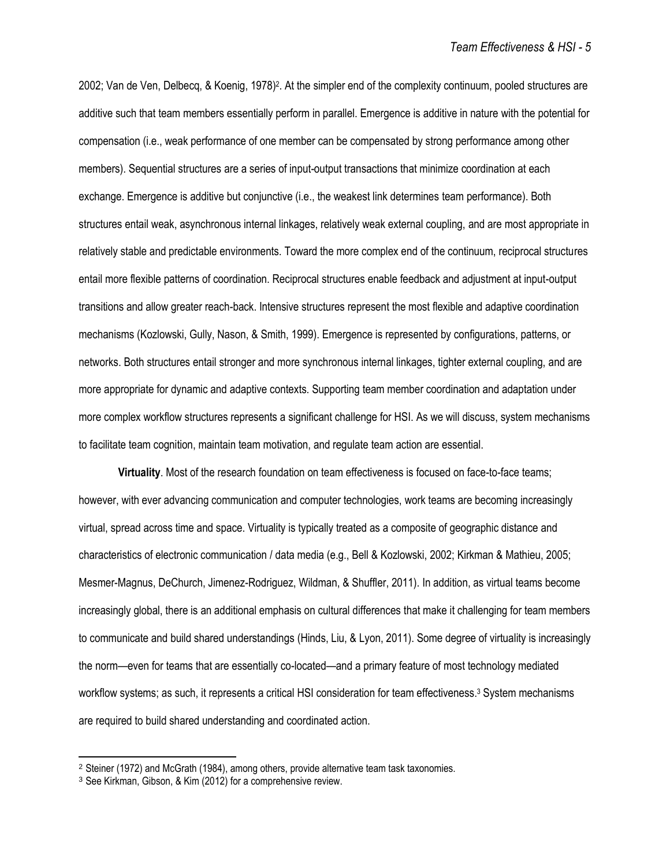2002; Van de Ven, Delbecq, & Koenig, 1978)<sup>2</sup>. At the simpler end of the complexity continuum, pooled structures are additive such that team members essentially perform in parallel. Emergence is additive in nature with the potential for compensation (i.e., weak performance of one member can be compensated by strong performance among other members). Sequential structures are a series of input-output transactions that minimize coordination at each exchange. Emergence is additive but conjunctive (i.e., the weakest link determines team performance). Both structures entail weak, asynchronous internal linkages, relatively weak external coupling, and are most appropriate in relatively stable and predictable environments. Toward the more complex end of the continuum, reciprocal structures entail more flexible patterns of coordination. Reciprocal structures enable feedback and adjustment at input-output transitions and allow greater reach-back. Intensive structures represent the most flexible and adaptive coordination mechanisms (Kozlowski, Gully, Nason, & Smith, 1999). Emergence is represented by configurations, patterns, or networks. Both structures entail stronger and more synchronous internal linkages, tighter external coupling, and are more appropriate for dynamic and adaptive contexts. Supporting team member coordination and adaptation under more complex workflow structures represents a significant challenge for HSI. As we will discuss, system mechanisms to facilitate team cognition, maintain team motivation, and regulate team action are essential.

**Virtuality**. Most of the research foundation on team effectiveness is focused on face-to-face teams; however, with ever advancing communication and computer technologies, work teams are becoming increasingly virtual, spread across time and space. Virtuality is typically treated as a composite of geographic distance and characteristics of electronic communication / data media (e.g., Bell & Kozlowski, 2002; Kirkman & Mathieu, 2005; Mesmer-Magnus, DeChurch, Jimenez-Rodriguez, Wildman, & Shuffler, 2011). In addition, as virtual teams become increasingly global, there is an additional emphasis on cultural differences that make it challenging for team members to communicate and build shared understandings (Hinds, Liu, & Lyon, 2011). Some degree of virtuality is increasingly the norm—even for teams that are essentially co-located—and a primary feature of most technology mediated workflow systems; as such, it represents a critical HSI consideration for team effectiveness.<sup>3</sup> System mechanisms are required to build shared understanding and coordinated action.

<sup>2</sup> Steiner (1972) and McGrath (1984), among others, provide alternative team task taxonomies.

<sup>3</sup> See Kirkman, Gibson, & Kim (2012) for a comprehensive review.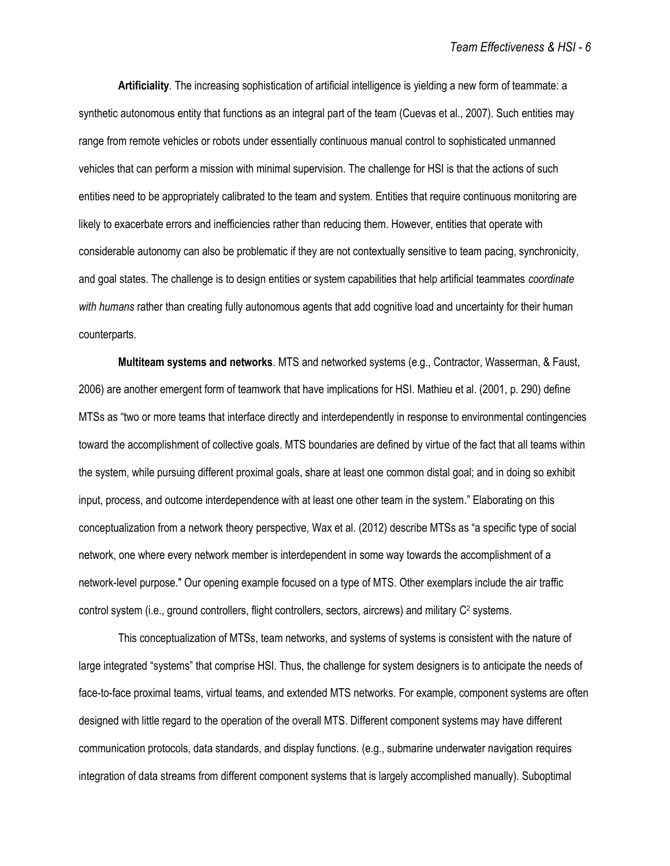**Artificiality***.* The increasing sophistication of artificial intelligence is yielding a new form of teammate: a synthetic autonomous entity that functions as an integral part of the team (Cuevas et al., 2007). Such entities may range from remote vehicles or robots under essentially continuous manual control to sophisticated unmanned vehicles that can perform a mission with minimal supervision. The challenge for HSI is that the actions of such entities need to be appropriately calibrated to the team and system. Entities that require continuous monitoring are likely to exacerbate errors and inefficiencies rather than reducing them. However, entities that operate with considerable autonomy can also be problematic if they are not contextually sensitive to team pacing, synchronicity, and goal states. The challenge is to design entities or system capabilities that help artificial teammates *coordinate with humans* rather than creating fully autonomous agents that add cognitive load and uncertainty for their human counterparts.

**Multiteam systems and networks***.* MTS and networked systems (e.g., Contractor, Wasserman, & Faust, 2006) are another emergent form of teamwork that have implications for HSI. Mathieu et al. (2001, p. 290) define MTSs as "two or more teams that interface directly and interdependently in response to environmental contingencies toward the accomplishment of collective goals. MTS boundaries are defined by virtue of the fact that all teams within the system, while pursuing different proximal goals, share at least one common distal goal; and in doing so exhibit input, process, and outcome interdependence with at least one other team in the system." Elaborating on this conceptualization from a network theory perspective, Wax et al. (2012) describe MTSs as "a specific type of social network, one where every network member is interdependent in some way towards the accomplishment of a network-level purpose." Our opening example focused on a type of MTS. Other exemplars include the air traffic control system (i.e., ground controllers, flight controllers, sectors, aircrews) and military C<sup>2</sup> systems.

This conceptualization of MTSs, team networks, and systems of systems is consistent with the nature of large integrated "systems" that comprise HSI. Thus, the challenge for system designers is to anticipate the needs of face-to-face proximal teams, virtual teams, and extended MTS networks. For example, component systems are often designed with little regard to the operation of the overall MTS. Different component systems may have different communication protocols, data standards, and display functions. (e.g., submarine underwater navigation requires integration of data streams from different component systems that is largely accomplished manually). Suboptimal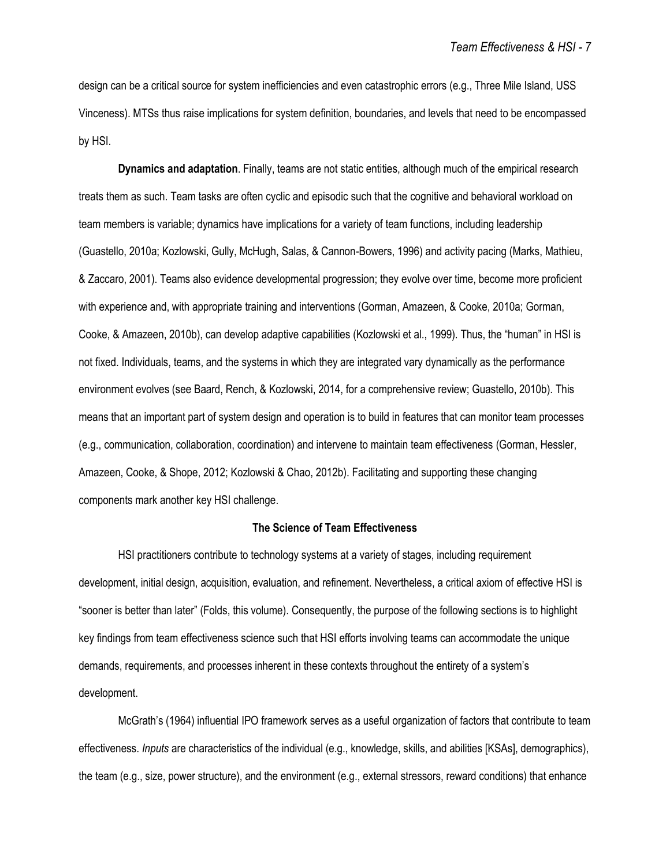design can be a critical source for system inefficiencies and even catastrophic errors (e.g., Three Mile Island, USS Vinceness). MTSs thus raise implications for system definition, boundaries, and levels that need to be encompassed by HSI.

**Dynamics and adaptation**. Finally, teams are not static entities, although much of the empirical research treats them as such. Team tasks are often cyclic and episodic such that the cognitive and behavioral workload on team members is variable; dynamics have implications for a variety of team functions, including leadership (Guastello, 2010a; Kozlowski, Gully, McHugh, Salas, & Cannon-Bowers, 1996) and activity pacing (Marks, Mathieu, & Zaccaro, 2001). Teams also evidence developmental progression; they evolve over time, become more proficient with experience and, with appropriate training and interventions (Gorman, Amazeen, & Cooke, 2010a; Gorman, Cooke, & Amazeen, 2010b), can develop adaptive capabilities (Kozlowski et al., 1999). Thus, the "human" in HSI is not fixed. Individuals, teams, and the systems in which they are integrated vary dynamically as the performance environment evolves (see Baard, Rench, & Kozlowski, 2014, for a comprehensive review; Guastello, 2010b). This means that an important part of system design and operation is to build in features that can monitor team processes (e.g., communication, collaboration, coordination) and intervene to maintain team effectiveness (Gorman, Hessler, Amazeen, Cooke, & Shope, 2012; Kozlowski & Chao, 2012b). Facilitating and supporting these changing components mark another key HSI challenge.

# **The Science of Team Effectiveness**

HSI practitioners contribute to technology systems at a variety of stages, including requirement development, initial design, acquisition, evaluation, and refinement. Nevertheless, a critical axiom of effective HSI is "sooner is better than later" (Folds, this volume). Consequently, the purpose of the following sections is to highlight key findings from team effectiveness science such that HSI efforts involving teams can accommodate the unique demands, requirements, and processes inherent in these contexts throughout the entirety of a system's development.

McGrath's (1964) influential IPO framework serves as a useful organization of factors that contribute to team effectiveness. *Inputs* are characteristics of the individual (e.g., knowledge, skills, and abilities [KSAs], demographics), the team (e.g., size, power structure), and the environment (e.g., external stressors, reward conditions) that enhance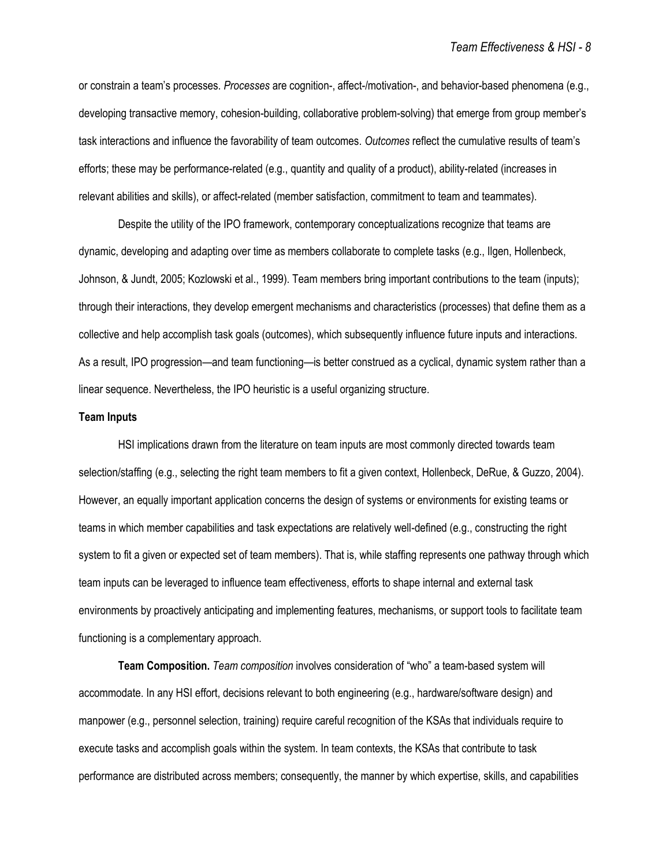or constrain a team's processes. *Processes* are cognition-, affect-/motivation-, and behavior-based phenomena (e.g., developing transactive memory, cohesion-building, collaborative problem-solving) that emerge from group member's task interactions and influence the favorability of team outcomes. *Outcomes* reflect the cumulative results of team's efforts; these may be performance-related (e.g., quantity and quality of a product), ability-related (increases in relevant abilities and skills), or affect-related (member satisfaction, commitment to team and teammates).

Despite the utility of the IPO framework, contemporary conceptualizations recognize that teams are dynamic, developing and adapting over time as members collaborate to complete tasks (e.g., Ilgen, Hollenbeck, Johnson, & Jundt, 2005; Kozlowski et al., 1999). Team members bring important contributions to the team (inputs); through their interactions, they develop emergent mechanisms and characteristics (processes) that define them as a collective and help accomplish task goals (outcomes), which subsequently influence future inputs and interactions. As a result, IPO progression—and team functioning—is better construed as a cyclical, dynamic system rather than a linear sequence. Nevertheless, the IPO heuristic is a useful organizing structure.

# **Team Inputs**

HSI implications drawn from the literature on team inputs are most commonly directed towards team selection/staffing (e.g., selecting the right team members to fit a given context, Hollenbeck, DeRue, & Guzzo, 2004). However, an equally important application concerns the design of systems or environments for existing teams or teams in which member capabilities and task expectations are relatively well-defined (e.g., constructing the right system to fit a given or expected set of team members). That is, while staffing represents one pathway through which team inputs can be leveraged to influence team effectiveness, efforts to shape internal and external task environments by proactively anticipating and implementing features, mechanisms, or support tools to facilitate team functioning is a complementary approach.

**Team Composition.** *Team composition* involves consideration of "who" a team-based system will accommodate. In any HSI effort, decisions relevant to both engineering (e.g., hardware/software design) and manpower (e.g., personnel selection, training) require careful recognition of the KSAs that individuals require to execute tasks and accomplish goals within the system. In team contexts, the KSAs that contribute to task performance are distributed across members; consequently, the manner by which expertise, skills, and capabilities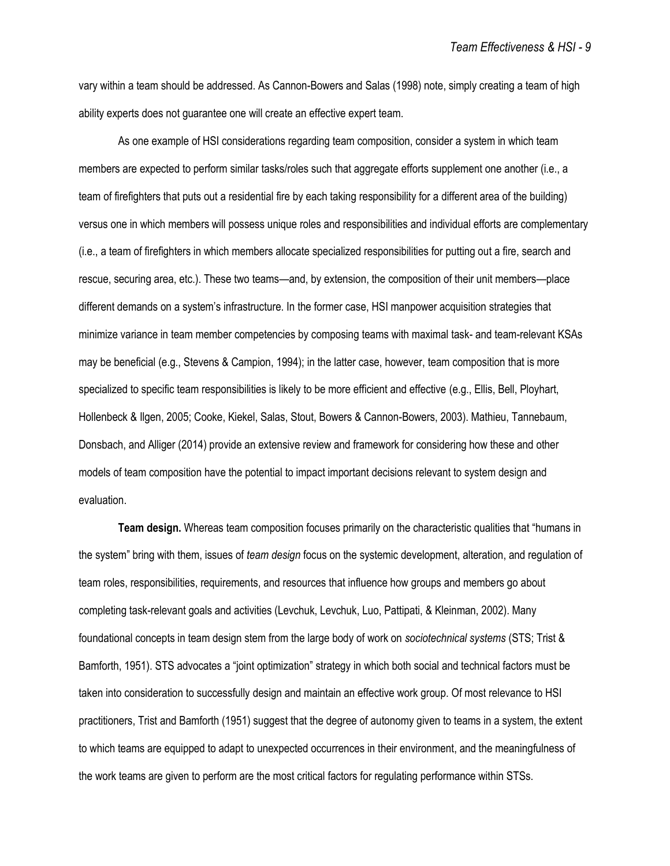vary within a team should be addressed. As Cannon-Bowers and Salas (1998) note, simply creating a team of high ability experts does not guarantee one will create an effective expert team.

As one example of HSI considerations regarding team composition, consider a system in which team members are expected to perform similar tasks/roles such that aggregate efforts supplement one another (i.e., a team of firefighters that puts out a residential fire by each taking responsibility for a different area of the building) versus one in which members will possess unique roles and responsibilities and individual efforts are complementary (i.e., a team of firefighters in which members allocate specialized responsibilities for putting out a fire, search and rescue, securing area, etc.). These two teams—and, by extension, the composition of their unit members—place different demands on a system's infrastructure. In the former case, HSI manpower acquisition strategies that minimize variance in team member competencies by composing teams with maximal task- and team-relevant KSAs may be beneficial (e.g., Stevens & Campion, 1994); in the latter case, however, team composition that is more specialized to specific team responsibilities is likely to be more efficient and effective (e.g., Ellis, Bell, Ployhart, Hollenbeck & Ilgen, 2005; Cooke, Kiekel, Salas, Stout, Bowers & Cannon-Bowers, 2003). Mathieu, Tannebaum, Donsbach, and Alliger (2014) provide an extensive review and framework for considering how these and other models of team composition have the potential to impact important decisions relevant to system design and evaluation.

**Team design.** Whereas team composition focuses primarily on the characteristic qualities that "humans in the system" bring with them, issues of *team design* focus on the systemic development, alteration, and regulation of team roles, responsibilities, requirements, and resources that influence how groups and members go about completing task-relevant goals and activities (Levchuk, Levchuk, Luo, Pattipati, & Kleinman, 2002). Many foundational concepts in team design stem from the large body of work on *sociotechnical systems* (STS; Trist & Bamforth, 1951). STS advocates a "joint optimization" strategy in which both social and technical factors must be taken into consideration to successfully design and maintain an effective work group. Of most relevance to HSI practitioners, Trist and Bamforth (1951) suggest that the degree of autonomy given to teams in a system, the extent to which teams are equipped to adapt to unexpected occurrences in their environment, and the meaningfulness of the work teams are given to perform are the most critical factors for regulating performance within STSs.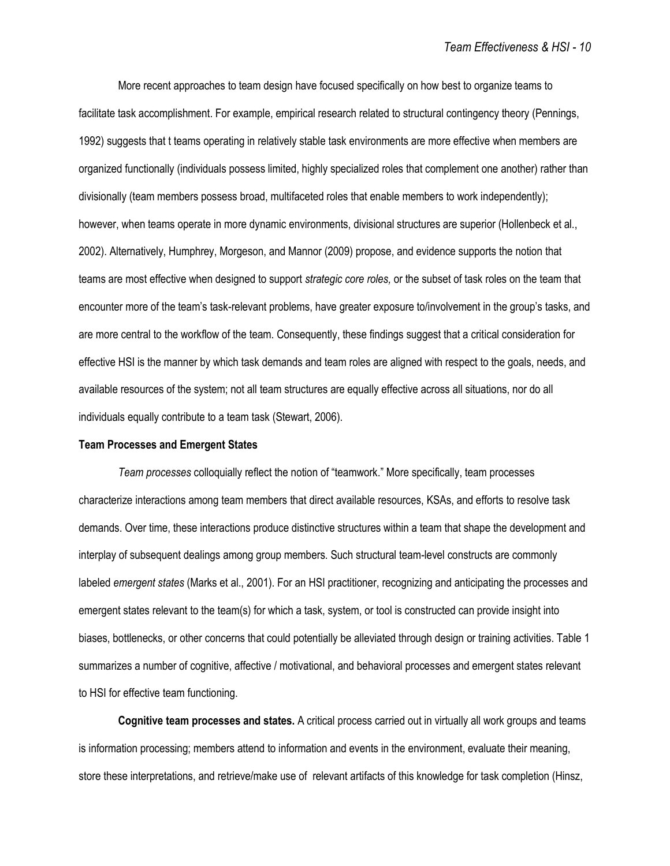More recent approaches to team design have focused specifically on how best to organize teams to facilitate task accomplishment. For example, empirical research related to structural contingency theory (Pennings, 1992) suggests that t teams operating in relatively stable task environments are more effective when members are organized functionally (individuals possess limited, highly specialized roles that complement one another) rather than divisionally (team members possess broad, multifaceted roles that enable members to work independently); however, when teams operate in more dynamic environments, divisional structures are superior (Hollenbeck et al., 2002). Alternatively, Humphrey, Morgeson, and Mannor (2009) propose, and evidence supports the notion that teams are most effective when designed to support *strategic core roles,* or the subset of task roles on the team that encounter more of the team's task-relevant problems, have greater exposure to/involvement in the group's tasks, and are more central to the workflow of the team. Consequently, these findings suggest that a critical consideration for effective HSI is the manner by which task demands and team roles are aligned with respect to the goals, needs, and available resources of the system; not all team structures are equally effective across all situations, nor do all individuals equally contribute to a team task (Stewart, 2006).

#### **Team Processes and Emergent States**

*Team processes* colloquially reflect the notion of "teamwork." More specifically, team processes characterize interactions among team members that direct available resources, KSAs, and efforts to resolve task demands. Over time, these interactions produce distinctive structures within a team that shape the development and interplay of subsequent dealings among group members. Such structural team-level constructs are commonly labeled *emergent states* (Marks et al., 2001). For an HSI practitioner, recognizing and anticipating the processes and emergent states relevant to the team(s) for which a task, system, or tool is constructed can provide insight into biases, bottlenecks, or other concerns that could potentially be alleviated through design or training activities. Table 1 summarizes a number of cognitive, affective / motivational, and behavioral processes and emergent states relevant to HSI for effective team functioning.

**Cognitive team processes and states.** A critical process carried out in virtually all work groups and teams is information processing; members attend to information and events in the environment, evaluate their meaning, store these interpretations, and retrieve/make use of relevant artifacts of this knowledge for task completion (Hinsz,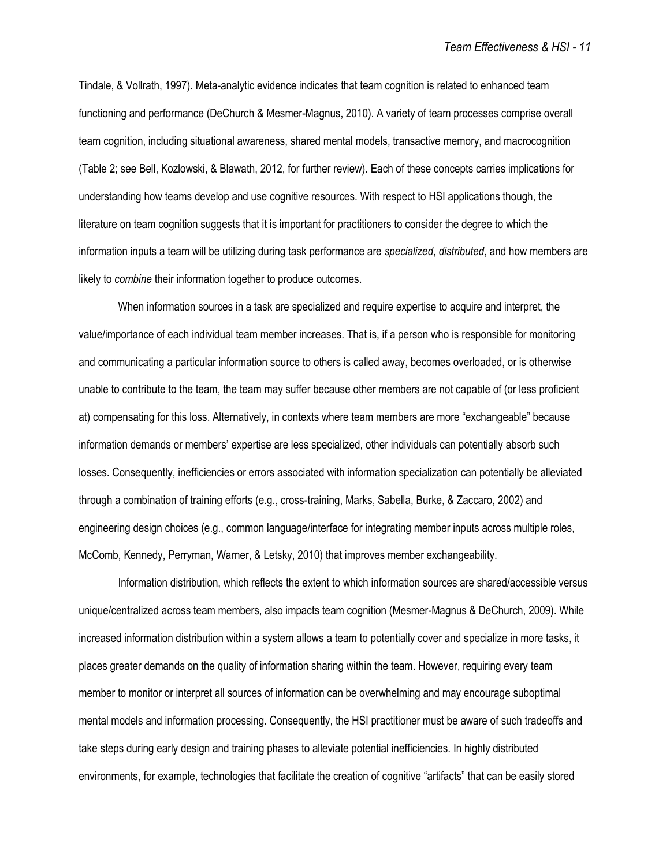Tindale, & Vollrath, 1997). Meta-analytic evidence indicates that team cognition is related to enhanced team functioning and performance (DeChurch & Mesmer-Magnus, 2010). A variety of team processes comprise overall team cognition, including situational awareness, shared mental models, transactive memory, and macrocognition (Table 2; see Bell, Kozlowski, & Blawath, 2012, for further review). Each of these concepts carries implications for understanding how teams develop and use cognitive resources. With respect to HSI applications though, the literature on team cognition suggests that it is important for practitioners to consider the degree to which the information inputs a team will be utilizing during task performance are *specialized*, *distributed*, and how members are likely to *combine* their information together to produce outcomes.

When information sources in a task are specialized and require expertise to acquire and interpret, the value/importance of each individual team member increases. That is, if a person who is responsible for monitoring and communicating a particular information source to others is called away, becomes overloaded, or is otherwise unable to contribute to the team, the team may suffer because other members are not capable of (or less proficient at) compensating for this loss. Alternatively, in contexts where team members are more "exchangeable" because information demands or members' expertise are less specialized, other individuals can potentially absorb such losses. Consequently, inefficiencies or errors associated with information specialization can potentially be alleviated through a combination of training efforts (e.g., cross-training, Marks, Sabella, Burke, & Zaccaro, 2002) and engineering design choices (e.g., common language/interface for integrating member inputs across multiple roles, McComb, Kennedy, Perryman, Warner, & Letsky, 2010) that improves member exchangeability.

Information distribution, which reflects the extent to which information sources are shared/accessible versus unique/centralized across team members, also impacts team cognition (Mesmer-Magnus & DeChurch, 2009). While increased information distribution within a system allows a team to potentially cover and specialize in more tasks, it places greater demands on the quality of information sharing within the team. However, requiring every team member to monitor or interpret all sources of information can be overwhelming and may encourage suboptimal mental models and information processing. Consequently, the HSI practitioner must be aware of such tradeoffs and take steps during early design and training phases to alleviate potential inefficiencies. In highly distributed environments, for example, technologies that facilitate the creation of cognitive "artifacts" that can be easily stored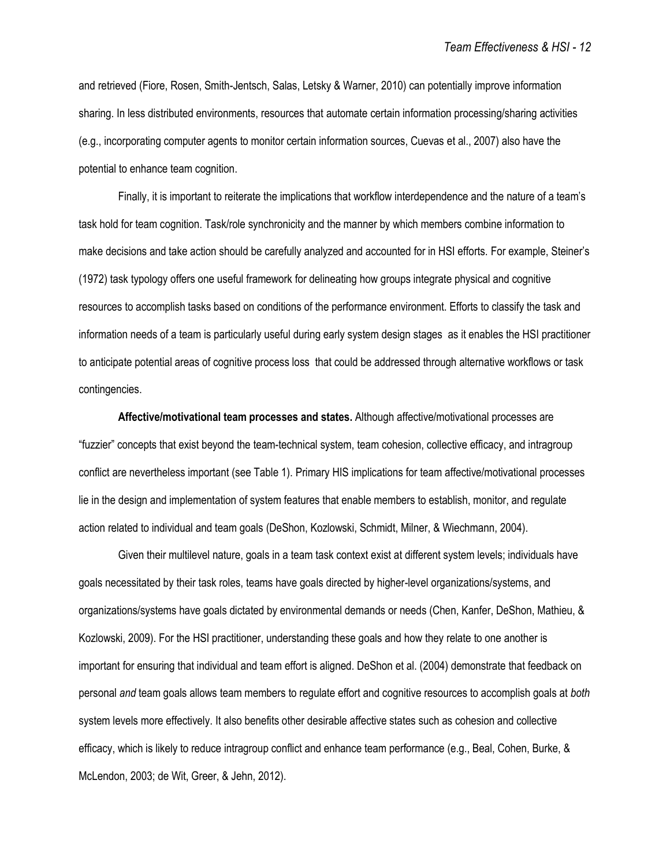and retrieved (Fiore, Rosen, Smith-Jentsch, Salas, Letsky & Warner, 2010) can potentially improve information sharing. In less distributed environments, resources that automate certain information processing/sharing activities (e.g., incorporating computer agents to monitor certain information sources, Cuevas et al., 2007) also have the potential to enhance team cognition.

Finally, it is important to reiterate the implications that workflow interdependence and the nature of a team's task hold for team cognition. Task/role synchronicity and the manner by which members combine information to make decisions and take action should be carefully analyzed and accounted for in HSI efforts. For example, Steiner's (1972) task typology offers one useful framework for delineating how groups integrate physical and cognitive resources to accomplish tasks based on conditions of the performance environment. Efforts to classify the task and information needs of a team is particularly useful during early system design stages as it enables the HSI practitioner to anticipate potential areas of cognitive process loss that could be addressed through alternative workflows or task contingencies.

**Affective/motivational team processes and states.** Although affective/motivational processes are "fuzzier" concepts that exist beyond the team-technical system, team cohesion, collective efficacy, and intragroup conflict are nevertheless important (see Table 1). Primary HIS implications for team affective/motivational processes lie in the design and implementation of system features that enable members to establish, monitor, and regulate action related to individual and team goals (DeShon, Kozlowski, Schmidt, Milner, & Wiechmann, 2004).

Given their multilevel nature, goals in a team task context exist at different system levels; individuals have goals necessitated by their task roles, teams have goals directed by higher-level organizations/systems, and organizations/systems have goals dictated by environmental demands or needs (Chen, Kanfer, DeShon, Mathieu, & Kozlowski, 2009). For the HSI practitioner, understanding these goals and how they relate to one another is important for ensuring that individual and team effort is aligned. DeShon et al. (2004) demonstrate that feedback on personal *and* team goals allows team members to regulate effort and cognitive resources to accomplish goals at *both* system levels more effectively. It also benefits other desirable affective states such as cohesion and collective efficacy, which is likely to reduce intragroup conflict and enhance team performance (e.g., Beal, Cohen, Burke, & McLendon, 2003; de Wit, Greer, & Jehn, 2012).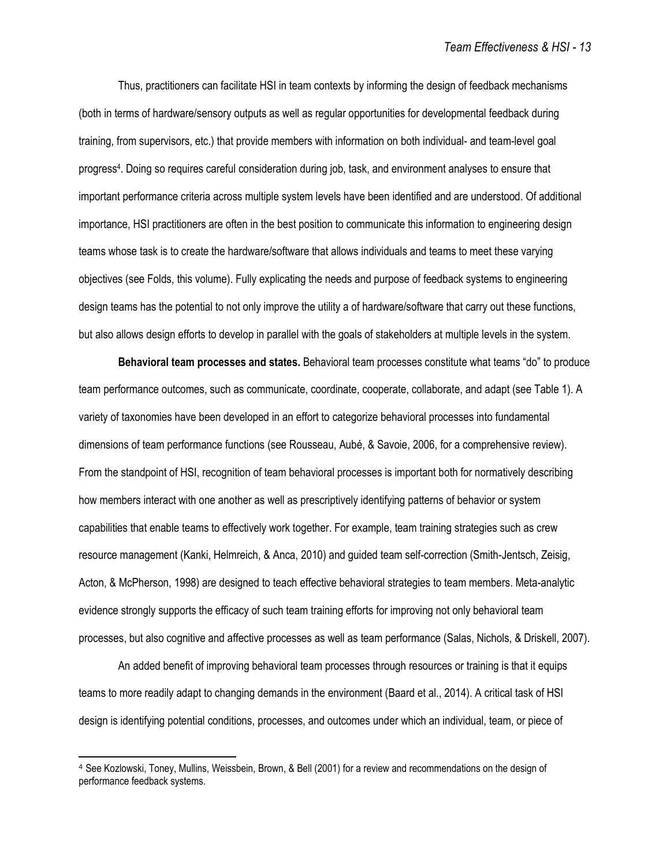Thus, practitioners can facilitate HSI in team contexts by informing the design of feedback mechanisms (both in terms of hardware/sensory outputs as well as regular opportunities for developmental feedback during training, from supervisors, etc.) that provide members with information on both individual- and team-level goal progress<sup>4</sup>. Doing so requires careful consideration during job, task, and environment analyses to ensure that important performance criteria across multiple system levels have been identified and are understood. Of additional importance, HSI practitioners are often in the best position to communicate this information to engineering design teams whose task is to create the hardware/software that allows individuals and teams to meet these varying objectives (see Folds, this volume). Fully explicating the needs and purpose of feedback systems to engineering design teams has the potential to not only improve the utility a of hardware/software that carry out these functions, but also allows design efforts to develop in parallel with the goals of stakeholders at multiple levels in the system.

**Behavioral team processes and states.** Behavioral team processes constitute what teams "do" to produce team performance outcomes, such as communicate, coordinate, cooperate, collaborate, and adapt (see Table 1). A variety of taxonomies have been developed in an effort to categorize behavioral processes into fundamental dimensions of team performance functions (see Rousseau, Aubé, & Savoie, 2006, for a comprehensive review). From the standpoint of HSI, recognition of team behavioral processes is important both for normatively describing how members interact with one another as well as prescriptively identifying patterns of behavior or system capabilities that enable teams to effectively work together. For example, team training strategies such as crew resource management (Kanki, Helmreich, & Anca, 2010) and guided team self-correction (Smith-Jentsch, Zeisig, Acton, & McPherson, 1998) are designed to teach effective behavioral strategies to team members. Meta-analytic evidence strongly supports the efficacy of such team training efforts for improving not only behavioral team processes, but also cognitive and affective processes as well as team performance (Salas, Nichols, & Driskell, 2007).

An added benefit of improving behavioral team processes through resources or training is that it equips teams to more readily adapt to changing demands in the environment (Baard et al., 2014). A critical task of HSI design is identifying potential conditions, processes, and outcomes under which an individual, team, or piece of

<sup>4</sup> See Kozlowski, Toney, Mullins, Weissbein, Brown, & Bell (2001) for a review and recommendations on the design of performance feedback systems.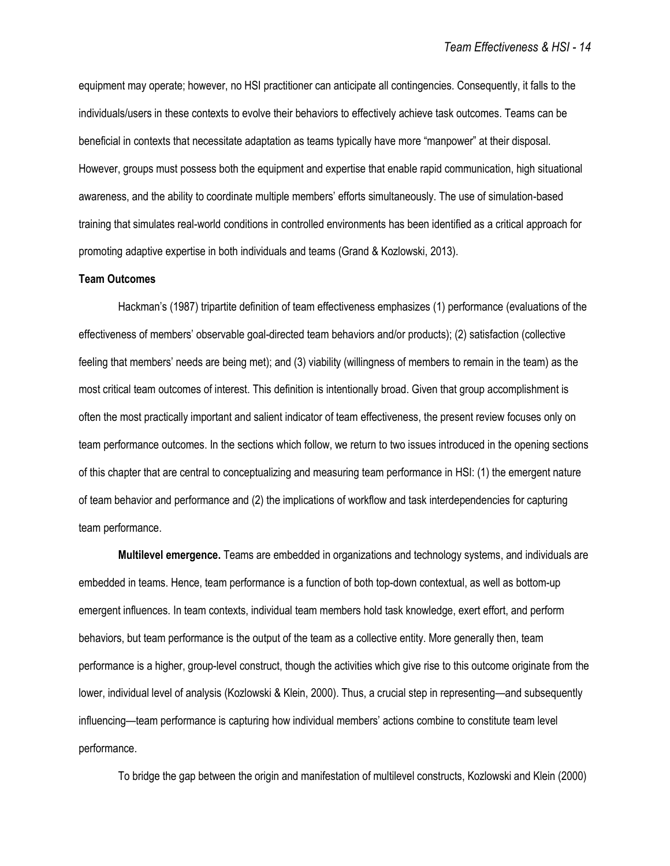equipment may operate; however, no HSI practitioner can anticipate all contingencies. Consequently, it falls to the individuals/users in these contexts to evolve their behaviors to effectively achieve task outcomes. Teams can be beneficial in contexts that necessitate adaptation as teams typically have more "manpower" at their disposal. However, groups must possess both the equipment and expertise that enable rapid communication, high situational awareness, and the ability to coordinate multiple members' efforts simultaneously. The use of simulation-based training that simulates real-world conditions in controlled environments has been identified as a critical approach for promoting adaptive expertise in both individuals and teams (Grand & Kozlowski, 2013).

## **Team Outcomes**

Hackman's (1987) tripartite definition of team effectiveness emphasizes (1) performance (evaluations of the effectiveness of members' observable goal-directed team behaviors and/or products); (2) satisfaction (collective feeling that members' needs are being met); and (3) viability (willingness of members to remain in the team) as the most critical team outcomes of interest. This definition is intentionally broad. Given that group accomplishment is often the most practically important and salient indicator of team effectiveness, the present review focuses only on team performance outcomes. In the sections which follow, we return to two issues introduced in the opening sections of this chapter that are central to conceptualizing and measuring team performance in HSI: (1) the emergent nature of team behavior and performance and (2) the implications of workflow and task interdependencies for capturing team performance.

**Multilevel emergence.** Teams are embedded in organizations and technology systems, and individuals are embedded in teams. Hence, team performance is a function of both top-down contextual, as well as bottom-up emergent influences. In team contexts, individual team members hold task knowledge, exert effort, and perform behaviors, but team performance is the output of the team as a collective entity. More generally then, team performance is a higher, group-level construct, though the activities which give rise to this outcome originate from the lower, individual level of analysis (Kozlowski & Klein, 2000). Thus, a crucial step in representing—and subsequently influencing—team performance is capturing how individual members' actions combine to constitute team level performance.

To bridge the gap between the origin and manifestation of multilevel constructs, Kozlowski and Klein (2000)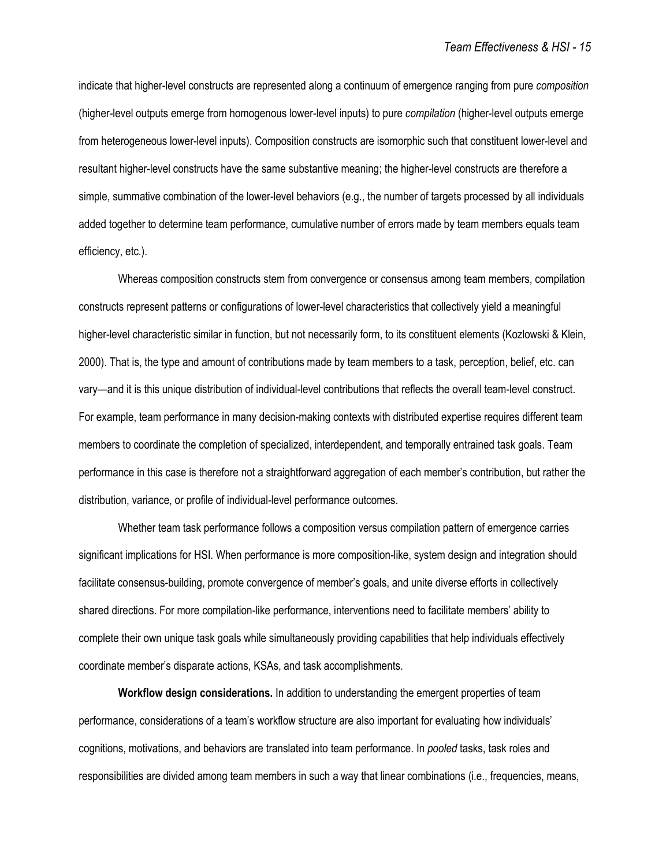indicate that higher-level constructs are represented along a continuum of emergence ranging from pure *composition* (higher-level outputs emerge from homogenous lower-level inputs) to pure *compilation* (higher-level outputs emerge from heterogeneous lower-level inputs). Composition constructs are isomorphic such that constituent lower-level and resultant higher-level constructs have the same substantive meaning; the higher-level constructs are therefore a simple, summative combination of the lower-level behaviors (e.g., the number of targets processed by all individuals added together to determine team performance, cumulative number of errors made by team members equals team efficiency, etc.).

Whereas composition constructs stem from convergence or consensus among team members, compilation constructs represent patterns or configurations of lower-level characteristics that collectively yield a meaningful higher-level characteristic similar in function, but not necessarily form, to its constituent elements (Kozlowski & Klein, 2000). That is, the type and amount of contributions made by team members to a task, perception, belief, etc. can vary—and it is this unique distribution of individual-level contributions that reflects the overall team-level construct. For example, team performance in many decision-making contexts with distributed expertise requires different team members to coordinate the completion of specialized, interdependent, and temporally entrained task goals. Team performance in this case is therefore not a straightforward aggregation of each member's contribution, but rather the distribution, variance, or profile of individual-level performance outcomes.

Whether team task performance follows a composition versus compilation pattern of emergence carries significant implications for HSI. When performance is more composition-like, system design and integration should facilitate consensus-building, promote convergence of member's goals, and unite diverse efforts in collectively shared directions. For more compilation-like performance, interventions need to facilitate members' ability to complete their own unique task goals while simultaneously providing capabilities that help individuals effectively coordinate member's disparate actions, KSAs, and task accomplishments.

**Workflow design considerations.** In addition to understanding the emergent properties of team performance, considerations of a team's workflow structure are also important for evaluating how individuals' cognitions, motivations, and behaviors are translated into team performance. In *pooled* tasks, task roles and responsibilities are divided among team members in such a way that linear combinations (i.e., frequencies, means,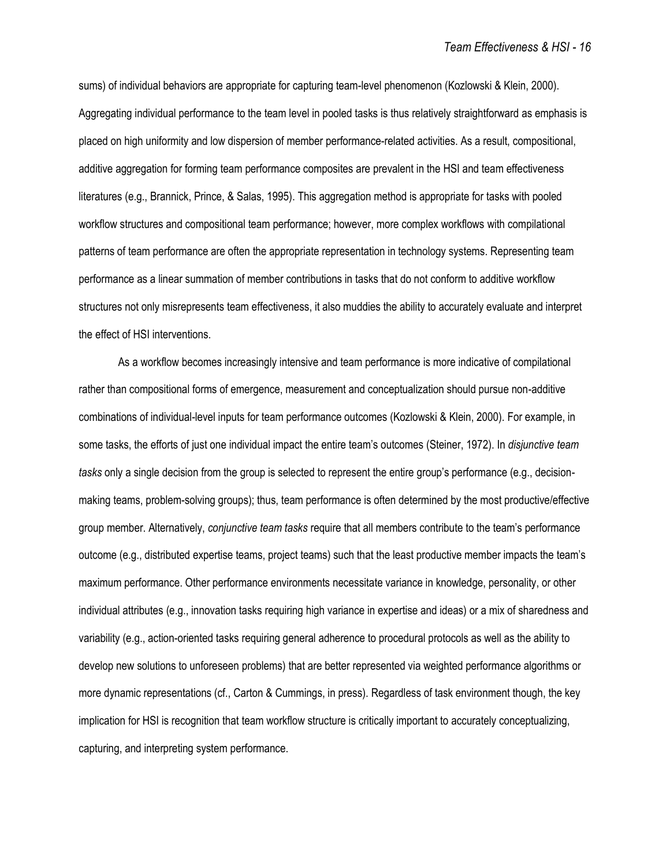sums) of individual behaviors are appropriate for capturing team-level phenomenon (Kozlowski & Klein, 2000). Aggregating individual performance to the team level in pooled tasks is thus relatively straightforward as emphasis is placed on high uniformity and low dispersion of member performance-related activities. As a result, compositional, additive aggregation for forming team performance composites are prevalent in the HSI and team effectiveness literatures (e.g., Brannick, Prince, & Salas, 1995). This aggregation method is appropriate for tasks with pooled workflow structures and compositional team performance; however, more complex workflows with compilational patterns of team performance are often the appropriate representation in technology systems. Representing team performance as a linear summation of member contributions in tasks that do not conform to additive workflow structures not only misrepresents team effectiveness, it also muddies the ability to accurately evaluate and interpret the effect of HSI interventions.

As a workflow becomes increasingly intensive and team performance is more indicative of compilational rather than compositional forms of emergence, measurement and conceptualization should pursue non-additive combinations of individual-level inputs for team performance outcomes (Kozlowski & Klein, 2000). For example, in some tasks, the efforts of just one individual impact the entire team's outcomes (Steiner, 1972). In *disjunctive team tasks* only a single decision from the group is selected to represent the entire group's performance (e.g., decisionmaking teams, problem-solving groups); thus, team performance is often determined by the most productive/effective group member. Alternatively, *conjunctive team tasks* require that all members contribute to the team's performance outcome (e.g., distributed expertise teams, project teams) such that the least productive member impacts the team's maximum performance. Other performance environments necessitate variance in knowledge, personality, or other individual attributes (e.g., innovation tasks requiring high variance in expertise and ideas) or a mix of sharedness and variability (e.g., action-oriented tasks requiring general adherence to procedural protocols as well as the ability to develop new solutions to unforeseen problems) that are better represented via weighted performance algorithms or more dynamic representations (cf., Carton & Cummings, in press). Regardless of task environment though, the key implication for HSI is recognition that team workflow structure is critically important to accurately conceptualizing, capturing, and interpreting system performance.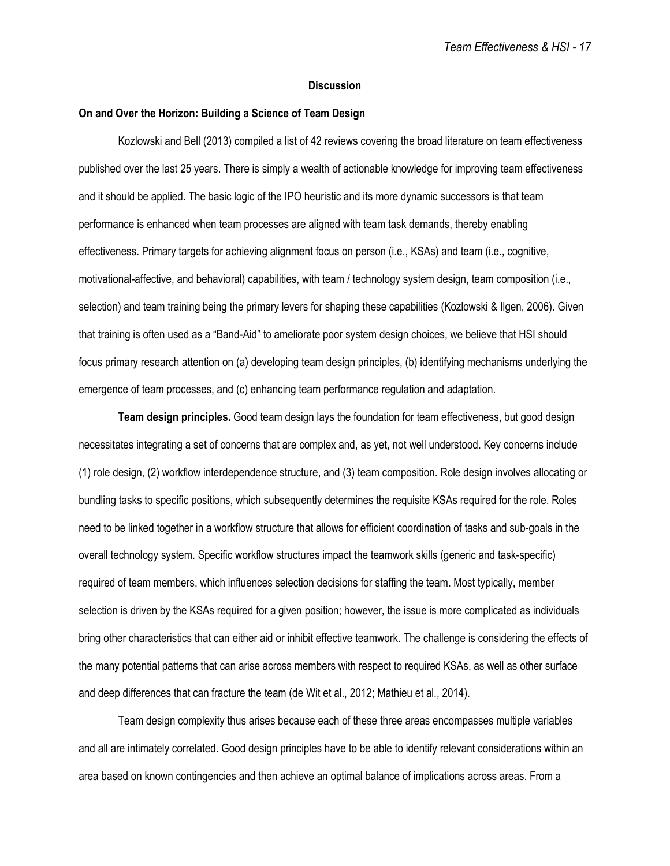## **Discussion**

# **On and Over the Horizon: Building a Science of Team Design**

Kozlowski and Bell (2013) compiled a list of 42 reviews covering the broad literature on team effectiveness published over the last 25 years. There is simply a wealth of actionable knowledge for improving team effectiveness and it should be applied. The basic logic of the IPO heuristic and its more dynamic successors is that team performance is enhanced when team processes are aligned with team task demands, thereby enabling effectiveness. Primary targets for achieving alignment focus on person (i.e., KSAs) and team (i.e., cognitive, motivational-affective, and behavioral) capabilities, with team / technology system design, team composition (i.e., selection) and team training being the primary levers for shaping these capabilities (Kozlowski & Ilgen, 2006). Given that training is often used as a "Band-Aid" to ameliorate poor system design choices, we believe that HSI should focus primary research attention on (a) developing team design principles, (b) identifying mechanisms underlying the emergence of team processes, and (c) enhancing team performance regulation and adaptation.

**Team design principles.** Good team design lays the foundation for team effectiveness, but good design necessitates integrating a set of concerns that are complex and, as yet, not well understood. Key concerns include (1) role design, (2) workflow interdependence structure, and (3) team composition. Role design involves allocating or bundling tasks to specific positions, which subsequently determines the requisite KSAs required for the role. Roles need to be linked together in a workflow structure that allows for efficient coordination of tasks and sub-goals in the overall technology system. Specific workflow structures impact the teamwork skills (generic and task-specific) required of team members, which influences selection decisions for staffing the team. Most typically, member selection is driven by the KSAs required for a given position; however, the issue is more complicated as individuals bring other characteristics that can either aid or inhibit effective teamwork. The challenge is considering the effects of the many potential patterns that can arise across members with respect to required KSAs, as well as other surface and deep differences that can fracture the team (de Wit et al., 2012; Mathieu et al., 2014).

Team design complexity thus arises because each of these three areas encompasses multiple variables and all are intimately correlated. Good design principles have to be able to identify relevant considerations within an area based on known contingencies and then achieve an optimal balance of implications across areas. From a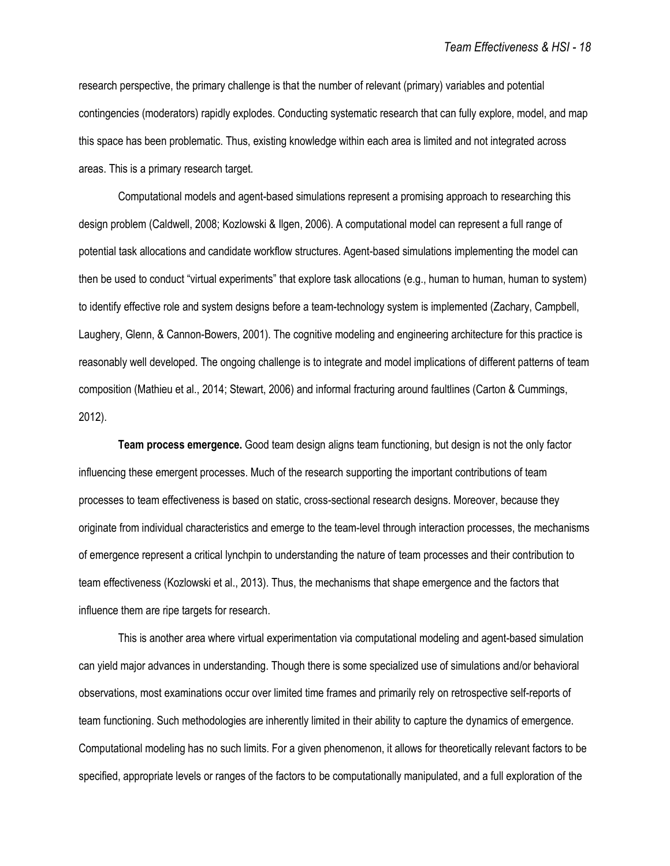research perspective, the primary challenge is that the number of relevant (primary) variables and potential contingencies (moderators) rapidly explodes. Conducting systematic research that can fully explore, model, and map this space has been problematic. Thus, existing knowledge within each area is limited and not integrated across areas. This is a primary research target.

Computational models and agent-based simulations represent a promising approach to researching this design problem (Caldwell, 2008; Kozlowski & Ilgen, 2006). A computational model can represent a full range of potential task allocations and candidate workflow structures. Agent-based simulations implementing the model can then be used to conduct "virtual experiments" that explore task allocations (e.g., human to human, human to system) to identify effective role and system designs before a team-technology system is implemented (Zachary, Campbell, Laughery, Glenn, & Cannon-Bowers, 2001). The cognitive modeling and engineering architecture for this practice is reasonably well developed. The ongoing challenge is to integrate and model implications of different patterns of team composition (Mathieu et al., 2014; Stewart, 2006) and informal fracturing around faultlines (Carton & Cummings, 2012).

**Team process emergence.** Good team design aligns team functioning, but design is not the only factor influencing these emergent processes. Much of the research supporting the important contributions of team processes to team effectiveness is based on static, cross-sectional research designs. Moreover, because they originate from individual characteristics and emerge to the team-level through interaction processes, the mechanisms of emergence represent a critical lynchpin to understanding the nature of team processes and their contribution to team effectiveness (Kozlowski et al., 2013). Thus, the mechanisms that shape emergence and the factors that influence them are ripe targets for research.

This is another area where virtual experimentation via computational modeling and agent-based simulation can yield major advances in understanding. Though there is some specialized use of simulations and/or behavioral observations, most examinations occur over limited time frames and primarily rely on retrospective self-reports of team functioning. Such methodologies are inherently limited in their ability to capture the dynamics of emergence. Computational modeling has no such limits. For a given phenomenon, it allows for theoretically relevant factors to be specified, appropriate levels or ranges of the factors to be computationally manipulated, and a full exploration of the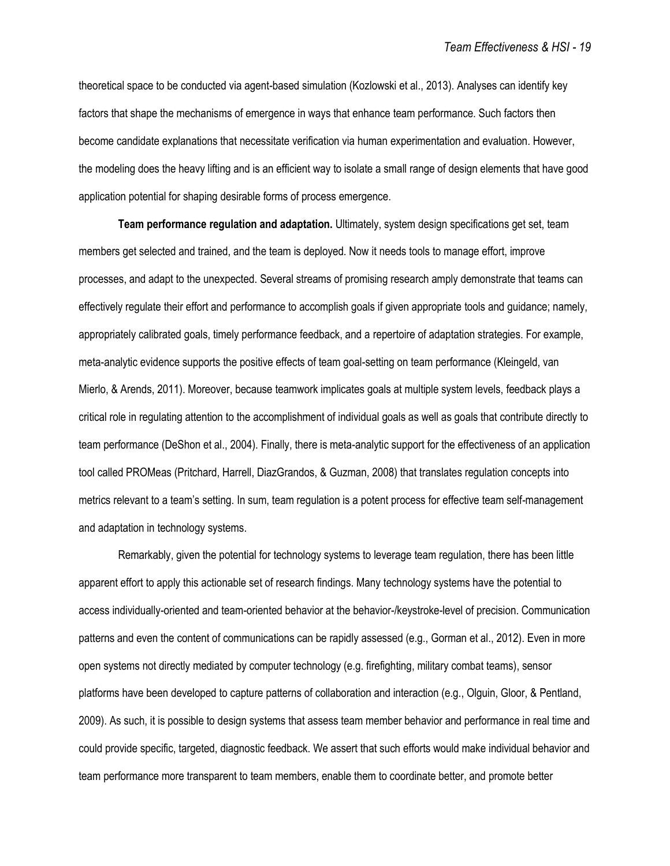theoretical space to be conducted via agent-based simulation (Kozlowski et al., 2013). Analyses can identify key factors that shape the mechanisms of emergence in ways that enhance team performance. Such factors then become candidate explanations that necessitate verification via human experimentation and evaluation. However, the modeling does the heavy lifting and is an efficient way to isolate a small range of design elements that have good application potential for shaping desirable forms of process emergence.

**Team performance regulation and adaptation.** Ultimately, system design specifications get set, team members get selected and trained, and the team is deployed. Now it needs tools to manage effort, improve processes, and adapt to the unexpected. Several streams of promising research amply demonstrate that teams can effectively regulate their effort and performance to accomplish goals if given appropriate tools and guidance; namely, appropriately calibrated goals, timely performance feedback, and a repertoire of adaptation strategies. For example, meta-analytic evidence supports the positive effects of team goal-setting on team performance (Kleingeld, van Mierlo, & Arends, 2011). Moreover, because teamwork implicates goals at multiple system levels, feedback plays a critical role in regulating attention to the accomplishment of individual goals as well as goals that contribute directly to team performance (DeShon et al., 2004). Finally, there is meta-analytic support for the effectiveness of an application tool called PROMeas (Pritchard, Harrell, DiazGrandos, & Guzman, 2008) that translates regulation concepts into metrics relevant to a team's setting. In sum, team regulation is a potent process for effective team self-management and adaptation in technology systems.

Remarkably, given the potential for technology systems to leverage team regulation, there has been little apparent effort to apply this actionable set of research findings. Many technology systems have the potential to access individually-oriented and team-oriented behavior at the behavior-/keystroke-level of precision. Communication patterns and even the content of communications can be rapidly assessed (e.g., Gorman et al., 2012). Even in more open systems not directly mediated by computer technology (e.g. firefighting, military combat teams), sensor platforms have been developed to capture patterns of collaboration and interaction (e.g., Olguin, Gloor, & Pentland, 2009). As such, it is possible to design systems that assess team member behavior and performance in real time and could provide specific, targeted, diagnostic feedback. We assert that such efforts would make individual behavior and team performance more transparent to team members, enable them to coordinate better, and promote better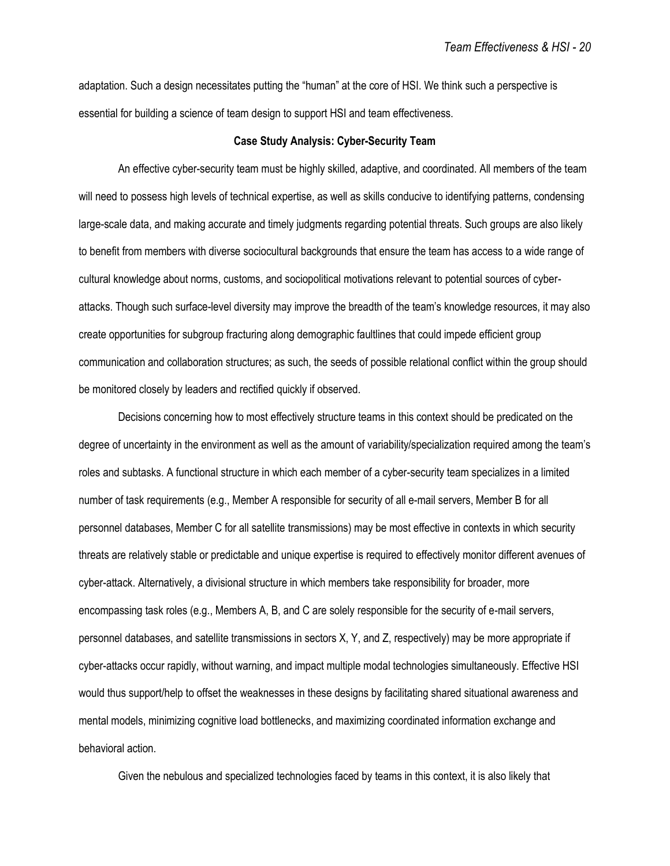adaptation. Such a design necessitates putting the "human" at the core of HSI. We think such a perspective is essential for building a science of team design to support HSI and team effectiveness.

# **Case Study Analysis: Cyber-Security Team**

An effective cyber-security team must be highly skilled, adaptive, and coordinated. All members of the team will need to possess high levels of technical expertise, as well as skills conducive to identifying patterns, condensing large-scale data, and making accurate and timely judgments regarding potential threats. Such groups are also likely to benefit from members with diverse sociocultural backgrounds that ensure the team has access to a wide range of cultural knowledge about norms, customs, and sociopolitical motivations relevant to potential sources of cyberattacks. Though such surface-level diversity may improve the breadth of the team's knowledge resources, it may also create opportunities for subgroup fracturing along demographic faultlines that could impede efficient group communication and collaboration structures; as such, the seeds of possible relational conflict within the group should be monitored closely by leaders and rectified quickly if observed.

Decisions concerning how to most effectively structure teams in this context should be predicated on the degree of uncertainty in the environment as well as the amount of variability/specialization required among the team's roles and subtasks. A functional structure in which each member of a cyber-security team specializes in a limited number of task requirements (e.g., Member A responsible for security of all e-mail servers, Member B for all personnel databases, Member C for all satellite transmissions) may be most effective in contexts in which security threats are relatively stable or predictable and unique expertise is required to effectively monitor different avenues of cyber-attack. Alternatively, a divisional structure in which members take responsibility for broader, more encompassing task roles (e.g., Members A, B, and C are solely responsible for the security of e-mail servers, personnel databases, and satellite transmissions in sectors X, Y, and Z, respectively) may be more appropriate if cyber-attacks occur rapidly, without warning, and impact multiple modal technologies simultaneously. Effective HSI would thus support/help to offset the weaknesses in these designs by facilitating shared situational awareness and mental models, minimizing cognitive load bottlenecks, and maximizing coordinated information exchange and behavioral action.

Given the nebulous and specialized technologies faced by teams in this context, it is also likely that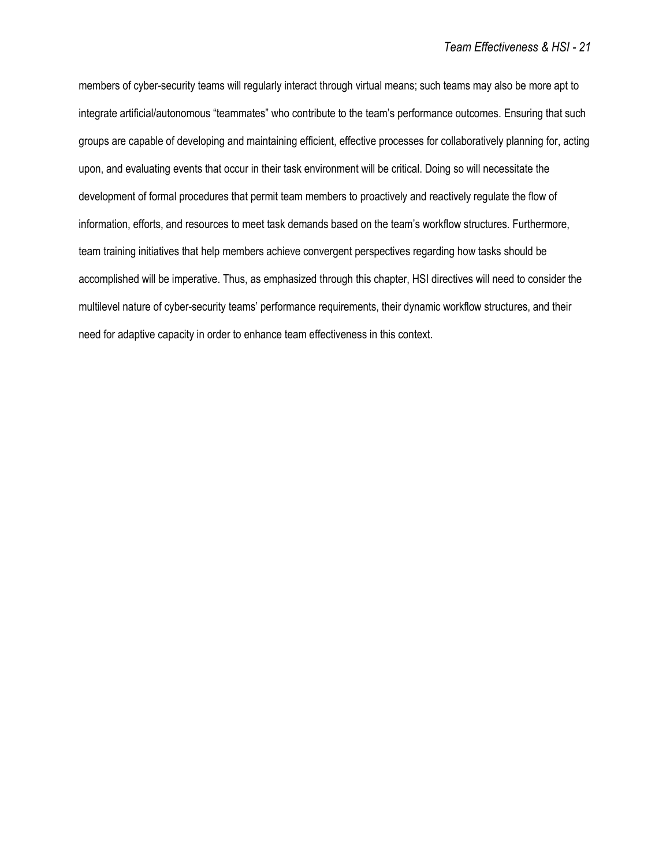members of cyber-security teams will regularly interact through virtual means; such teams may also be more apt to integrate artificial/autonomous "teammates" who contribute to the team's performance outcomes. Ensuring that such groups are capable of developing and maintaining efficient, effective processes for collaboratively planning for, acting upon, and evaluating events that occur in their task environment will be critical. Doing so will necessitate the development of formal procedures that permit team members to proactively and reactively regulate the flow of information, efforts, and resources to meet task demands based on the team's workflow structures. Furthermore, team training initiatives that help members achieve convergent perspectives regarding how tasks should be accomplished will be imperative. Thus, as emphasized through this chapter, HSI directives will need to consider the multilevel nature of cyber-security teams' performance requirements, their dynamic workflow structures, and their need for adaptive capacity in order to enhance team effectiveness in this context.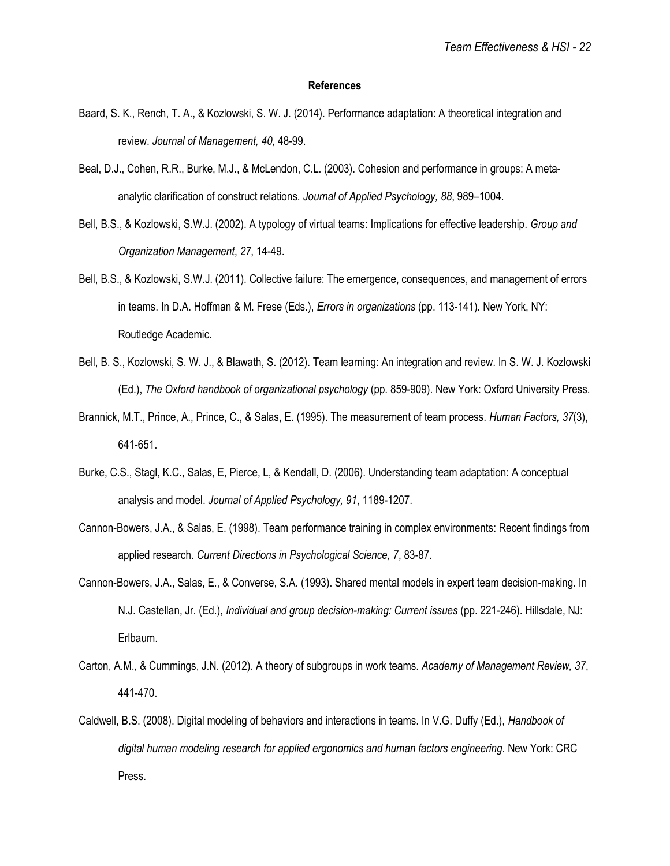### **References**

- Baard, S. K., Rench, T. A., & Kozlowski, S. W. J. (2014). Performance adaptation: A theoretical integration and review. *Journal of Management, 40,* 48-99.
- Beal, D.J., Cohen, R.R., Burke, M.J., & McLendon, C.L. (2003). Cohesion and performance in groups: A metaanalytic clarification of construct relations. *Journal of Applied Psychology, 88*, 989–1004.
- Bell, B.S., & Kozlowski, S.W.J. (2002). A typology of virtual teams: Implications for effective leadership. *Group and Organization Management*, *27*, 14-49.
- Bell, B.S., & Kozlowski, S.W.J. (2011). Collective failure: The emergence, consequences, and management of errors in teams. In D.A. Hoffman & M. Frese (Eds.), *Errors in organizations* (pp. 113-141)*.* New York, NY: Routledge Academic.
- Bell, B. S., Kozlowski, S. W. J., & Blawath, S. (2012). Team learning: An integration and review. In S. W. J. Kozlowski (Ed.), *The Oxford handbook of organizational psychology* (pp. 859-909). New York: Oxford University Press.
- Brannick, M.T., Prince, A., Prince, C., & Salas, E. (1995). The measurement of team process. *Human Factors, 37*(3), 641-651.
- Burke, C.S., Stagl, K.C., Salas, E, Pierce, L, & Kendall, D. (2006). Understanding team adaptation: A conceptual analysis and model. *Journal of Applied Psychology, 91*, 1189-1207.
- Cannon-Bowers, J.A., & Salas, E. (1998). Team performance training in complex environments: Recent findings from applied research. *Current Directions in Psychological Science, 7*, 83-87.
- Cannon-Bowers, J.A., Salas, E., & Converse, S.A. (1993). Shared mental models in expert team decision-making. In N.J. Castellan, Jr. (Ed.), *Individual and group decision-making: Current issues* (pp. 221-246). Hillsdale, NJ: Erlbaum.
- Carton, A.M., & Cummings, J.N. (2012). A theory of subgroups in work teams. *Academy of Management Review, 37*, 441-470.
- Caldwell, B.S. (2008). Digital modeling of behaviors and interactions in teams. In V.G. Duffy (Ed.), *Handbook of digital human modeling research for applied ergonomics and human factors engineering*. New York: CRC Press.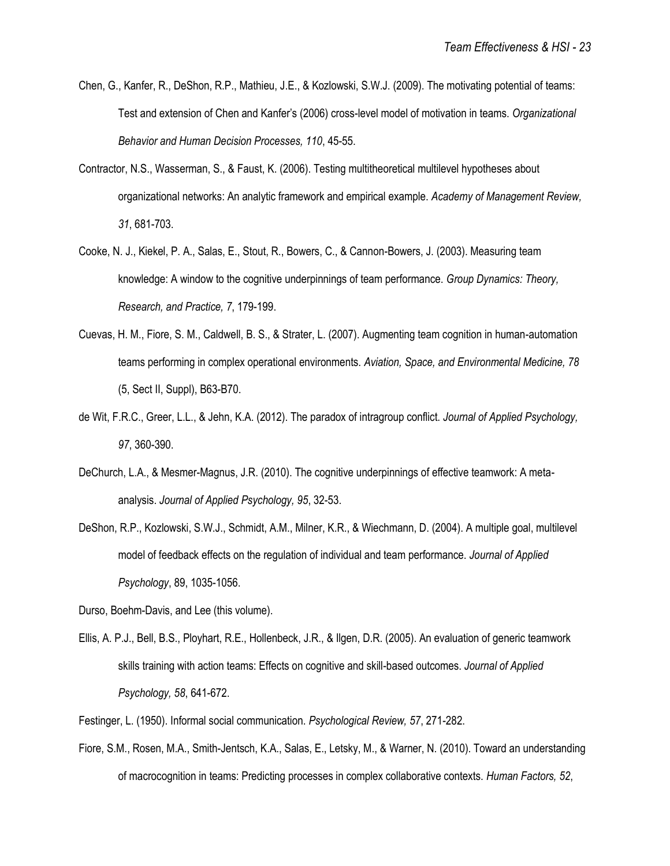- Chen, G., Kanfer, R., DeShon, R.P., Mathieu, J.E., & Kozlowski, S.W.J. (2009). The motivating potential of teams: Test and extension of Chen and Kanfer's (2006) cross-level model of motivation in teams. *Organizational Behavior and Human Decision Processes, 110*, 45-55.
- Contractor, N.S., Wasserman, S., & Faust, K. (2006). Testing multitheoretical multilevel hypotheses about organizational networks: An analytic framework and empirical example. *Academy of Management Review, 31*, 681-703.
- Cooke, N. J., Kiekel, P. A., Salas, E., Stout, R., Bowers, C., & Cannon-Bowers, J. (2003). Measuring team knowledge: A window to the cognitive underpinnings of team performance. *Group Dynamics: Theory, Research, and Practice, 7*, 179-199.
- Cuevas, H. M., Fiore, S. M., Caldwell, B. S., & Strater, L. (2007). Augmenting team cognition in human-automation teams performing in complex operational environments. *Aviation, Space, and Environmental Medicine, 78* (5, Sect II, Suppl), B63-B70.
- de Wit, F.R.C., Greer, L.L., & Jehn, K.A. (2012). The paradox of intragroup conflict. *Journal of Applied Psychology, 97*, 360-390.
- DeChurch, L.A., & Mesmer-Magnus, J.R. (2010). The cognitive underpinnings of effective teamwork: A metaanalysis. *Journal of Applied Psychology, 95*, 32-53.
- DeShon, R.P., Kozlowski, S.W.J., Schmidt, A.M., Milner, K.R., & Wiechmann, D. (2004). A multiple goal, multilevel model of feedback effects on the regulation of individual and team performance. *Journal of Applied Psychology*, 89, 1035-1056.
- Durso, Boehm-Davis, and Lee (this volume).
- Ellis, A. P.J., Bell, B.S., Ployhart, R.E., Hollenbeck, J.R., & Ilgen, D.R. (2005). An evaluation of generic teamwork skills training with action teams: Effects on cognitive and skill-based outcomes. *Journal of Applied Psychology, 58*, 641-672.
- Festinger, L. (1950). Informal social communication. *Psychological Review, 57*, 271-282.
- Fiore, S.M., Rosen, M.A., Smith-Jentsch, K.A., Salas, E., Letsky, M., & Warner, N. (2010). Toward an understanding of macrocognition in teams: Predicting processes in complex collaborative contexts. *Human Factors, 52*,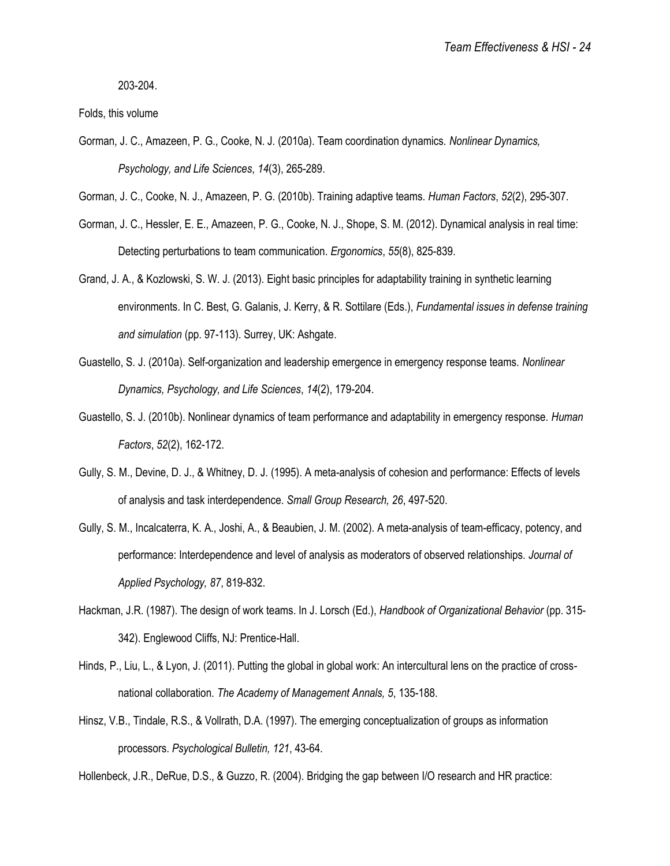203-204.

Folds, this volume

- Gorman, J. C., Amazeen, P. G., Cooke, N. J. (2010a). Team coordination dynamics. *Nonlinear Dynamics, Psychology, and Life Sciences*, *14*(3), 265-289.
- Gorman, J. C., Cooke, N. J., Amazeen, P. G. (2010b). Training adaptive teams. *Human Factors*, *52*(2), 295-307.
- Gorman, J. C., Hessler, E. E., Amazeen, P. G., Cooke, N. J., Shope, S. M. (2012). Dynamical analysis in real time: Detecting perturbations to team communication. *Ergonomics*, *55*(8), 825-839.
- Grand, J. A., & Kozlowski, S. W. J. (2013). Eight basic principles for adaptability training in synthetic learning environments. In C. Best, G. Galanis, J. Kerry, & R. Sottilare (Eds.), *Fundamental issues in defense training and simulation* (pp. 97-113). Surrey, UK: Ashgate.
- Guastello, S. J. (2010a). Self-organization and leadership emergence in emergency response teams. *Nonlinear Dynamics, Psychology, and Life Sciences*, *14*(2), 179-204.
- Guastello, S. J. (2010b). Nonlinear dynamics of team performance and adaptability in emergency response. *Human Factors*, *52*(2), 162-172.
- Gully, S. M., Devine, D. J., & Whitney, D. J. (1995). A meta-analysis of cohesion and performance: Effects of levels of analysis and task interdependence. *Small Group Research, 26*, 497-520.
- Gully, S. M., Incalcaterra, K. A., Joshi, A., & Beaubien, J. M. (2002). A meta-analysis of team-efficacy, potency, and performance: Interdependence and level of analysis as moderators of observed relationships. *Journal of Applied Psychology, 87*, 819-832.
- Hackman, J.R. (1987). The design of work teams. In J. Lorsch (Ed.), *Handbook of Organizational Behavior* (pp. 315- 342). Englewood Cliffs, NJ: Prentice-Hall.
- Hinds, P., Liu, L., & Lyon, J. (2011). Putting the global in global work: An intercultural lens on the practice of crossnational collaboration. *The Academy of Management Annals, 5*, 135-188.
- Hinsz, V.B., Tindale, R.S., & Vollrath, D.A. (1997). The emerging conceptualization of groups as information processors. *Psychological Bulletin, 121*, 43-64.

Hollenbeck, J.R., DeRue, D.S., & Guzzo, R. (2004). Bridging the gap between I/O research and HR practice: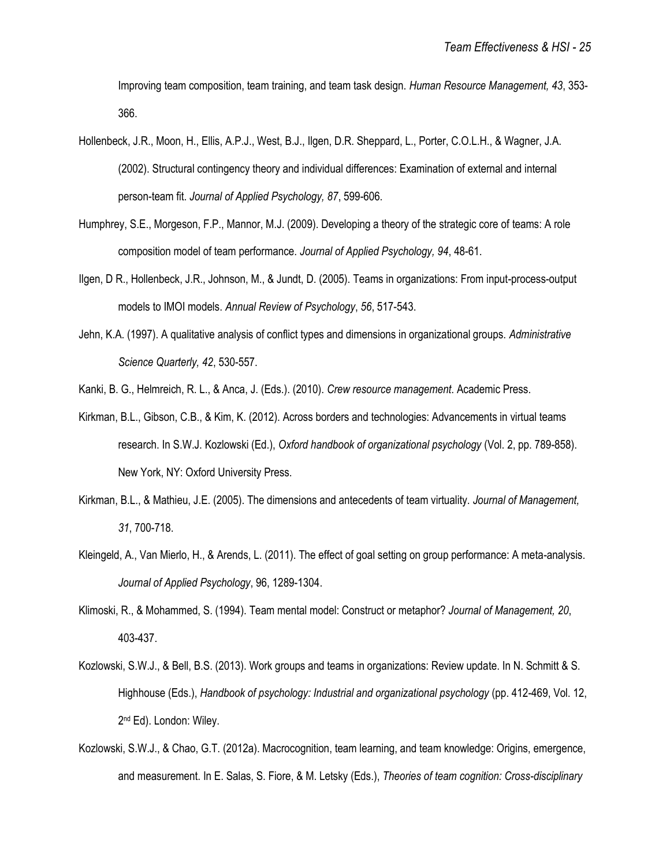Improving team composition, team training, and team task design. *Human Resource Management, 43*, 353- 366.

- Hollenbeck, J.R., Moon, H., Ellis, A.P.J., West, B.J., Ilgen, D.R. Sheppard, L., Porter, C.O.L.H., & Wagner, J.A. (2002). Structural contingency theory and individual differences: Examination of external and internal person-team fit. *Journal of Applied Psychology, 87*, 599-606.
- Humphrey, S.E., Morgeson, F.P., Mannor, M.J. (2009). Developing a theory of the strategic core of teams: A role composition model of team performance. *Journal of Applied Psychology, 94*, 48-61.
- Ilgen, D R., Hollenbeck, J.R., Johnson, M., & Jundt, D. (2005). Teams in organizations: From input-process-output models to IMOI models. *Annual Review of Psychology*, *56*, 517-543.
- Jehn, K.A. (1997). A qualitative analysis of conflict types and dimensions in organizational groups. *Administrative Science Quarterly, 42*, 530-557.
- Kanki, B. G., Helmreich, R. L., & Anca, J. (Eds.). (2010). *Crew resource management*. Academic Press.
- Kirkman, B.L., Gibson, C.B., & Kim, K. (2012). Across borders and technologies: Advancements in virtual teams research. In S.W.J. Kozlowski (Ed.), *Oxford handbook of organizational psychology* (Vol. 2, pp. 789-858). New York, NY: Oxford University Press.
- Kirkman, B.L., & Mathieu, J.E. (2005). The dimensions and antecedents of team virtuality. *Journal of Management, 31*, 700-718.
- Kleingeld, A., Van Mierlo, H., & Arends, L. (2011). The effect of goal setting on group performance: A meta-analysis. *Journal of Applied Psychology*, 96, 1289-1304.
- Klimoski, R., & Mohammed, S. (1994). Team mental model: Construct or metaphor? *Journal of Management, 20*, 403-437.
- Kozlowski, S.W.J., & Bell, B.S. (2013). Work groups and teams in organizations: Review update. In N. Schmitt & S. Highhouse (Eds.), *Handbook of psychology: Industrial and organizational psychology* (pp. 412-469, Vol. 12, 2<sup>nd</sup> Ed). London: Wiley.
- Kozlowski, S.W.J., & Chao, G.T. (2012a). Macrocognition, team learning, and team knowledge: Origins, emergence, and measurement. In E. Salas, S. Fiore, & M. Letsky (Eds.), *Theories of team cognition: Cross-disciplinary*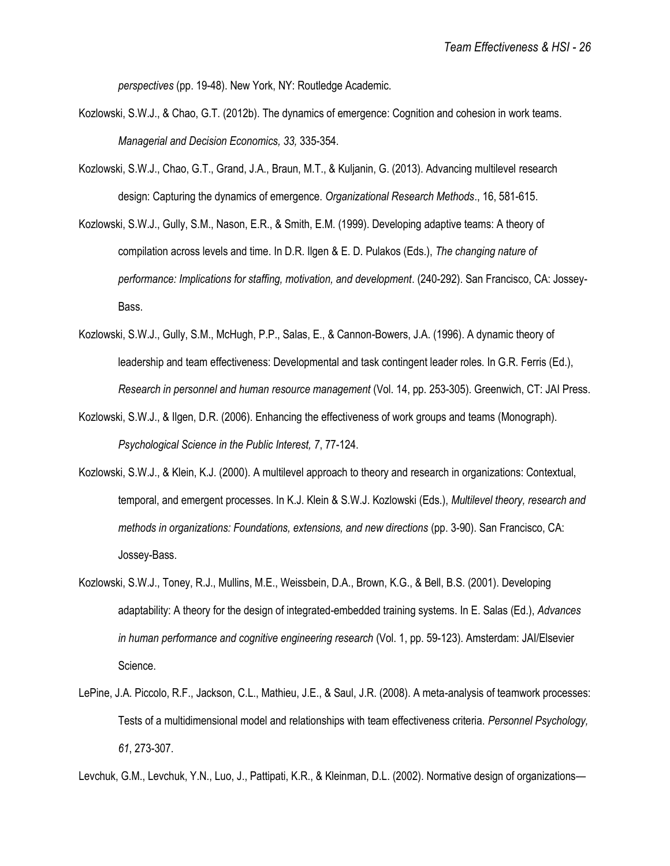*perspectives* (pp. 19-48). New York, NY: Routledge Academic.

- Kozlowski, S.W.J., & Chao, G.T. (2012b). The dynamics of emergence: Cognition and cohesion in work teams. *Managerial and Decision Economics, 33,* 335-354.
- Kozlowski, S.W.J., Chao, G.T., Grand, J.A., Braun, M.T., & Kuljanin, G. (2013). Advancing multilevel research design: Capturing the dynamics of emergence. *Organizational Research Methods*., 16, 581-615.
- Kozlowski, S.W.J., Gully, S.M., Nason, E.R., & Smith, E.M. (1999). Developing adaptive teams: A theory of compilation across levels and time. In D.R. Ilgen & E. D. Pulakos (Eds.), *The changing nature of performance: Implications for staffing, motivation, and development*. (240-292). San Francisco, CA: Jossey-Bass.
- Kozlowski, S.W.J., Gully, S.M., McHugh, P.P., Salas, E., & Cannon-Bowers, J.A. (1996). A dynamic theory of leadership and team effectiveness: Developmental and task contingent leader roles. In G.R. Ferris (Ed.), *Research in personnel and human resource management* (Vol. 14, pp. 253-305). Greenwich, CT: JAI Press.
- Kozlowski, S.W.J., & Ilgen, D.R. (2006). Enhancing the effectiveness of work groups and teams (Monograph). *Psychological Science in the Public Interest, 7*, 77-124.
- Kozlowski, S.W.J., & Klein, K.J. (2000). A multilevel approach to theory and research in organizations: Contextual, temporal, and emergent processes. In K.J. Klein & S.W.J. Kozlowski (Eds.), *Multilevel theory, research and methods in organizations: Foundations, extensions, and new directions* (pp. 3-90). San Francisco, CA: Jossey-Bass.
- Kozlowski, S.W.J., Toney, R.J., Mullins, M.E., Weissbein, D.A., Brown, K.G., & Bell, B.S. (2001). Developing adaptability: A theory for the design of integrated-embedded training systems. In E. Salas (Ed.), *Advances in human performance and cognitive engineering research* (Vol. 1, pp. 59-123). Amsterdam: JAI/Elsevier Science.
- LePine, J.A. Piccolo, R.F., Jackson, C.L., Mathieu, J.E., & Saul, J.R. (2008). A meta-analysis of teamwork processes: Tests of a multidimensional model and relationships with team effectiveness criteria. *Personnel Psychology, 61*, 273-307.

Levchuk, G.M., Levchuk, Y.N., Luo, J., Pattipati, K.R., & Kleinman, D.L. (2002). Normative design of organizations—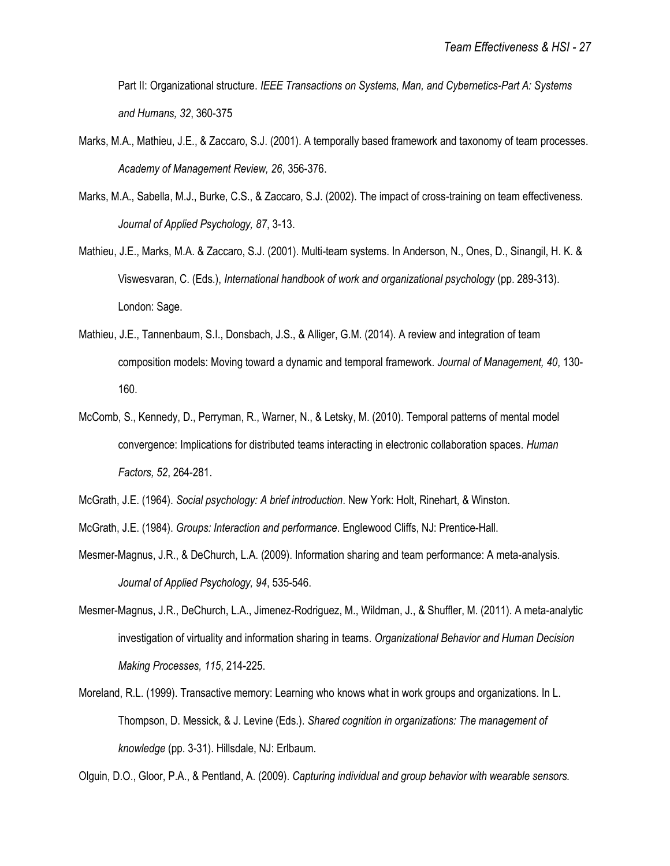Part II: Organizational structure. *IEEE Transactions on Systems, Man, and Cybernetics-Part A: Systems and Humans, 32*, 360-375

- Marks, M.A., Mathieu, J.E., & Zaccaro, S.J. (2001). A temporally based framework and taxonomy of team processes. *Academy of Management Review, 26*, 356-376.
- Marks, M.A., Sabella, M.J., Burke, C.S., & Zaccaro, S.J. (2002). The impact of cross-training on team effectiveness. *Journal of Applied Psychology, 87*, 3-13.
- Mathieu, J.E., Marks, M.A. & Zaccaro, S.J. (2001). Multi-team systems. In Anderson, N., Ones, D., Sinangil, H. K. & Viswesvaran, C. (Eds.), *International handbook of work and organizational psychology* (pp. 289-313). London: Sage.
- Mathieu, J.E., Tannenbaum, S.I., Donsbach, J.S., & Alliger, G.M. (2014). A review and integration of team composition models: Moving toward a dynamic and temporal framework. *Journal of Management, 40*, 130- 160.
- McComb, S., Kennedy, D., Perryman, R., Warner, N., & Letsky, M. (2010). Temporal patterns of mental model convergence: Implications for distributed teams interacting in electronic collaboration spaces*. Human Factors, 52*, 264-281.

- Mesmer-Magnus, J.R., & DeChurch, L.A. (2009). Information sharing and team performance: A meta-analysis. *Journal of Applied Psychology, 94*, 535-546.
- Mesmer-Magnus, J.R., DeChurch, L.A., Jimenez-Rodriguez, M., Wildman, J., & Shuffler, M. (2011). A meta-analytic investigation of virtuality and information sharing in teams. *Organizational Behavior and Human Decision Making Processes, 115*, 214-225.
- Moreland, R.L. (1999). Transactive memory: Learning who knows what in work groups and organizations. In L. Thompson, D. Messick, & J. Levine (Eds.). *Shared cognition in organizations: The management of knowledge* (pp. 3-31). Hillsdale, NJ: Erlbaum.

Olguin, D.O., Gloor, P.A., & Pentland, A. (2009). *Capturing individual and group behavior with wearable sensors.* 

McGrath, J.E. (1964). *Social psychology: A brief introduction*. New York: Holt, Rinehart, & Winston.

McGrath, J.E. (1984). *Groups: Interaction and performance*. Englewood Cliffs, NJ: Prentice-Hall.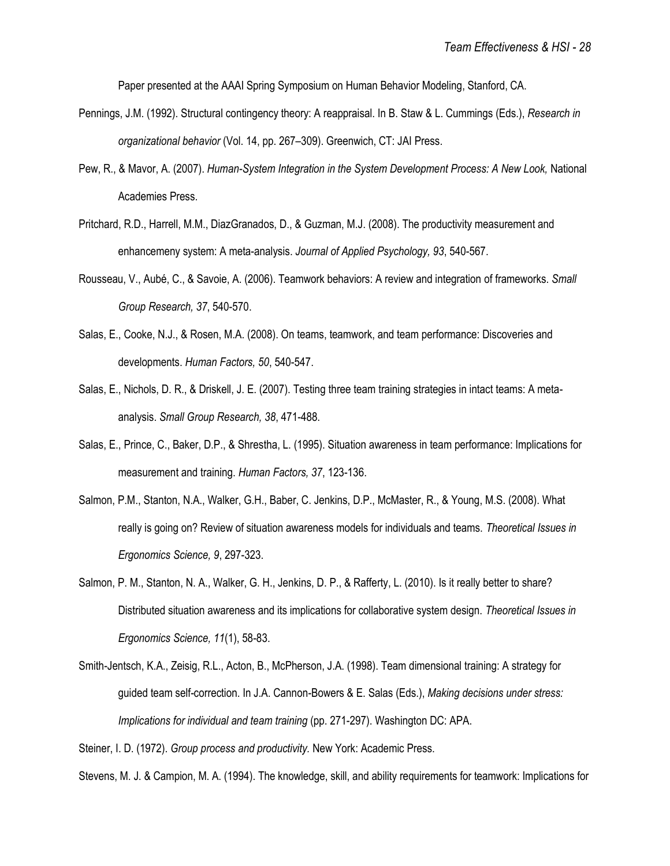Paper presented at the AAAI Spring Symposium on Human Behavior Modeling, Stanford, CA.

- Pennings, J.M. (1992). Structural contingency theory: A reappraisal. In B. Staw & L. Cummings (Eds.), *Research in organizational behavior* (Vol. 14, pp. 267–309). Greenwich, CT: JAI Press.
- Pew, R., & Mavor, A. (2007). *Human-System Integration in the System Development Process: A New Look,* National Academies Press.
- Pritchard, R.D., Harrell, M.M., DiazGranados, D., & Guzman, M.J. (2008). The productivity measurement and enhancemeny system: A meta-analysis. *Journal of Applied Psychology, 93*, 540-567.
- Rousseau, V., Aubé, C., & Savoie, A. (2006). Teamwork behaviors: A review and integration of frameworks. *Small Group Research, 37*, 540-570.
- Salas, E., Cooke, N.J., & Rosen, M.A. (2008). On teams, teamwork, and team performance: Discoveries and developments. *Human Factors, 50*, 540-547.
- Salas, E., Nichols, D. R., & Driskell, J. E. (2007). Testing three team training strategies in intact teams: A metaanalysis. *Small Group Research, 38*, 471-488.
- Salas, E., Prince, C., Baker, D.P., & Shrestha, L. (1995). Situation awareness in team performance: Implications for measurement and training. *Human Factors, 37*, 123-136.
- Salmon, P.M., Stanton, N.A., Walker, G.H., Baber, C. Jenkins, D.P., McMaster, R., & Young, M.S. (2008). What really is going on? Review of situation awareness models for individuals and teams. *Theoretical Issues in Ergonomics Science, 9*, 297-323.
- Salmon, P. M., Stanton, N. A., Walker, G. H., Jenkins, D. P., & Rafferty, L. (2010). Is it really better to share? Distributed situation awareness and its implications for collaborative system design. *Theoretical Issues in Ergonomics Science, 11*(1), 58-83.
- Smith-Jentsch, K.A., Zeisig, R.L., Acton, B., McPherson, J.A. (1998). Team dimensional training: A strategy for guided team self-correction. In J.A. Cannon-Bowers & E. Salas (Eds.), *Making decisions under stress: Implications for individual and team training* (pp. 271-297). Washington DC: APA.

Steiner, I. D. (1972). *Group process and productivity.* New York: Academic Press.

Stevens, M. J. & Campion, M. A. (1994). The knowledge, skill, and ability requirements for teamwork: Implications for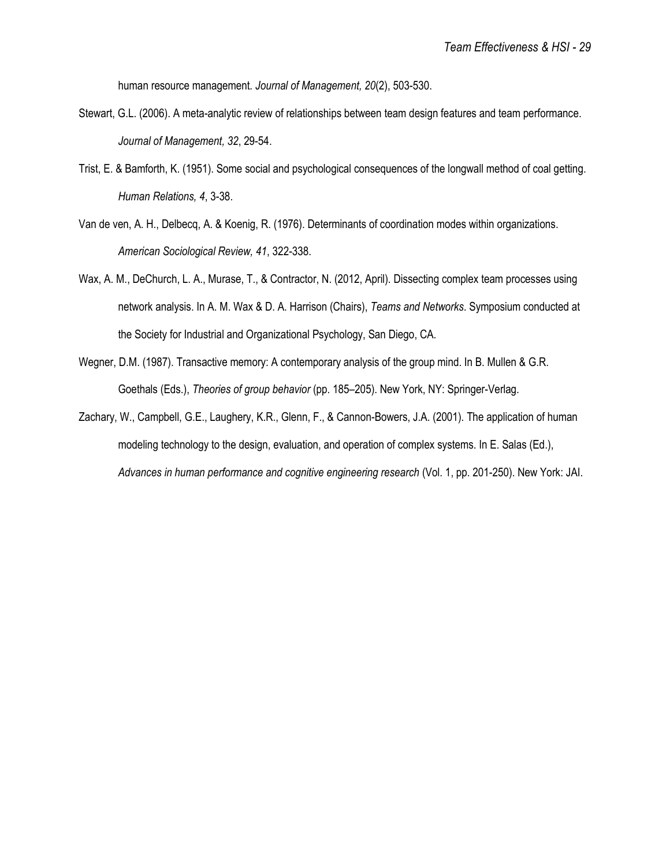human resource management. *Journal of Management, 20*(2), 503-530.

- Stewart, G.L. (2006). A meta-analytic review of relationships between team design features and team performance. *Journal of Management, 32*, 29-54.
- Trist, E. & Bamforth, K. (1951). Some social and psychological consequences of the longwall method of coal getting. *Human Relations, 4*, 3-38.
- Van de ven, A. H., Delbecq, A. & Koenig, R. (1976). Determinants of coordination modes within organizations. *American Sociological Review, 41*, 322-338.
- Wax, A. M., DeChurch, L. A., Murase, T., & Contractor, N. (2012, April). Dissecting complex team processes using network analysis. In A. M. Wax & D. A. Harrison (Chairs), *Teams and Networks*. Symposium conducted at the Society for Industrial and Organizational Psychology, San Diego, CA.
- Wegner, D.M. (1987). Transactive memory: A contemporary analysis of the group mind. In B. Mullen & G.R. Goethals (Eds.), *Theories of group behavior* (pp. 185–205). New York, NY: Springer-Verlag.
- Zachary, W., Campbell, G.E., Laughery, K.R., Glenn, F., & Cannon-Bowers, J.A. (2001). The application of human modeling technology to the design, evaluation, and operation of complex systems. In E. Salas (Ed.), *Advances in human performance and cognitive engineering research* (Vol. 1, pp. 201-250). New York: JAI.